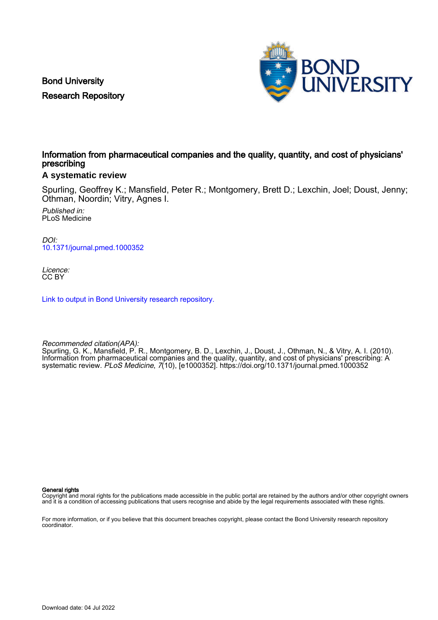Bond University Research Repository



# Information from pharmaceutical companies and the quality, quantity, and cost of physicians' prescribing

# **A systematic review**

Spurling, Geoffrey K.; Mansfield, Peter R.; Montgomery, Brett D.; Lexchin, Joel; Doust, Jenny; Othman, Noordin; Vitry, Agnes I.

Published in: PLoS Medicine

DOI: [10.1371/journal.pmed.1000352](https://doi.org/10.1371/journal.pmed.1000352)

Licence: CC BY

[Link to output in Bond University research repository.](https://research.bond.edu.au/en/publications/efca64ed-5c71-4c7e-9417-467b3c0ae62a)

Recommended citation(APA): Spurling, G. K., Mansfield, P. R., Montgomery, B. D., Lexchin, J., Doust, J., Othman, N., & Vitry, A. I. (2010). Information from pharmaceutical companies and the quality, quantity, and cost of physicians' prescribing: A systematic review. PLoS Medicine, 7(10), [e1000352]. <https://doi.org/10.1371/journal.pmed.1000352>

General rights

Copyright and moral rights for the publications made accessible in the public portal are retained by the authors and/or other copyright owners and it is a condition of accessing publications that users recognise and abide by the legal requirements associated with these rights.

For more information, or if you believe that this document breaches copyright, please contact the Bond University research repository coordinator.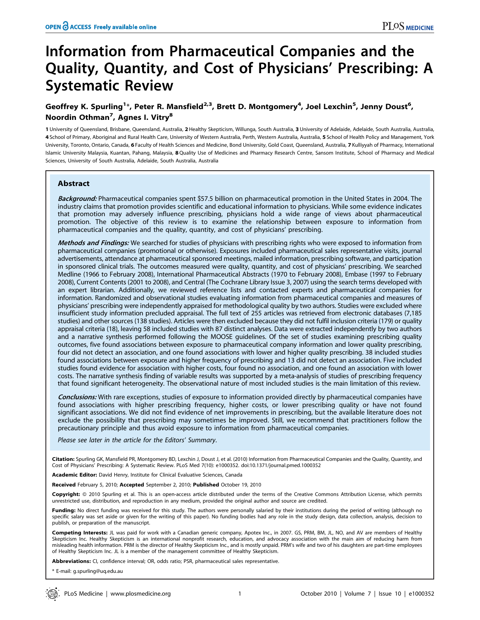# Information from Pharmaceutical Companies and the Quality, Quantity, and Cost of Physicians' Prescribing: A Systematic Review

# Geoffrey K. Spurling<sup>1</sup>\*, Peter R. Mansfield<sup>2,3</sup>, Brett D. Montgomery<sup>4</sup>, Joel Lexchin<sup>5</sup>, Jenny Doust<sup>6</sup>, Noordin Othman<sup>7</sup>, Agnes I. Vitry<sup>8</sup>

1 University of Queensland, Brisbane, Queensland, Australia, 2 Healthy Skepticism, Willunga, South Australia, 3 University of Adelaide, Adelaide, South Australia, Australia, 4 School of Primary, Aboriginal and Rural Health Care, University of Western Australia, Perth, Western Australia, Australia, 5 School of Health Policy and Management, York University, Toronto, Ontario, Canada, 6 Faculty of Health Sciences and Medicine, Bond University, Gold Coast, Queensland, Australia, 7 Kulliyyah of Pharmacy, International Islamic University Malaysia, Kuantan, Pahang, Malaysia, 8 Quality Use of Medicines and Pharmacy Research Centre, Sansom Institute, School of Pharmacy and Medical Sciences, University of South Australia, Adelaide, South Australia, Australia

# Abstract

Background: Pharmaceutical companies spent \$57.5 billion on pharmaceutical promotion in the United States in 2004. The industry claims that promotion provides scientific and educational information to physicians. While some evidence indicates that promotion may adversely influence prescribing, physicians hold a wide range of views about pharmaceutical promotion. The objective of this review is to examine the relationship between exposure to information from pharmaceutical companies and the quality, quantity, and cost of physicians' prescribing.

Methods and Findings: We searched for studies of physicians with prescribing rights who were exposed to information from pharmaceutical companies (promotional or otherwise). Exposures included pharmaceutical sales representative visits, journal advertisements, attendance at pharmaceutical sponsored meetings, mailed information, prescribing software, and participation in sponsored clinical trials. The outcomes measured were quality, quantity, and cost of physicians' prescribing. We searched Medline (1966 to February 2008), International Pharmaceutical Abstracts (1970 to February 2008), Embase (1997 to February 2008), Current Contents (2001 to 2008), and Central (The Cochrane Library Issue 3, 2007) using the search terms developed with an expert librarian. Additionally, we reviewed reference lists and contacted experts and pharmaceutical companies for information. Randomized and observational studies evaluating information from pharmaceutical companies and measures of physicians' prescribing were independently appraised for methodological quality by two authors. Studies were excluded where insufficient study information precluded appraisal. The full text of 255 articles was retrieved from electronic databases (7,185 studies) and other sources (138 studies). Articles were then excluded because they did not fulfil inclusion criteria (179) or quality appraisal criteria (18), leaving 58 included studies with 87 distinct analyses. Data were extracted independently by two authors and a narrative synthesis performed following the MOOSE guidelines. Of the set of studies examining prescribing quality outcomes, five found associations between exposure to pharmaceutical company information and lower quality prescribing, four did not detect an association, and one found associations with lower and higher quality prescribing. 38 included studies found associations between exposure and higher frequency of prescribing and 13 did not detect an association. Five included studies found evidence for association with higher costs, four found no association, and one found an association with lower costs. The narrative synthesis finding of variable results was supported by a meta-analysis of studies of prescribing frequency that found significant heterogeneity. The observational nature of most included studies is the main limitation of this review.

Conclusions: With rare exceptions, studies of exposure to information provided directly by pharmaceutical companies have found associations with higher prescribing frequency, higher costs, or lower prescribing quality or have not found significant associations. We did not find evidence of net improvements in prescribing, but the available literature does not exclude the possibility that prescribing may sometimes be improved. Still, we recommend that practitioners follow the precautionary principle and thus avoid exposure to information from pharmaceutical companies.

Please see later in the article for the Editors' Summary.

Citation: Spurling GK, Mansfield PR, Montgomery BD, Lexchin J, Doust J, et al. (2010) Information from Pharmaceutical Companies and the Quality, Quantity, and Cost of Physicians' Prescribing: A Systematic Review. PLoS Med 7(10): e1000352. doi:10.1371/journal.pmed.1000352

cademic Editor: David Henry, Institute for Clinical Evaluative Sciences, Canada

Received February 5, 2010; Accepted September 2, 2010; Published October 19, 2010

Copyright: © 2010 Spurling et al. This is an open-access article distributed under the terms of the Creative Commons Attribution License, which permits unrestricted use, distribution, and reproduction in any medium, provided the original author and source are credited.

Funding: No direct funding was received for this study. The authors were personally salaried by their institutions during the period of writing (although no specific salary was set aside or given for the writing of this paper). No funding bodies had any role in the study design, data collection, analysis, decision to publish, or preparation of the manuscript.

Competing Interests: JL was paid for work with a Canadian generic company, Apotex Inc., in 2007. GS, PRM, BM, JL, NO, and AV are members of Healthy Skepticism Inc. Healthy Skepticism is an international nonprofit research, education, and advocacy association with the main aim of reducing harm from misleading health information. PRM is the director of Healthy Skepticism Inc., and is mostly unpaid. PRM's wife and two of his daughters are part-time employees of Healthy Skepticism Inc. JL is a member of the management committee of Healthy Skepticism.

Abbreviations: CI, confidence interval; OR, odds ratio; PSR, pharmaceutical sales representative.

\* E-mail: g.spurling@uq.edu.au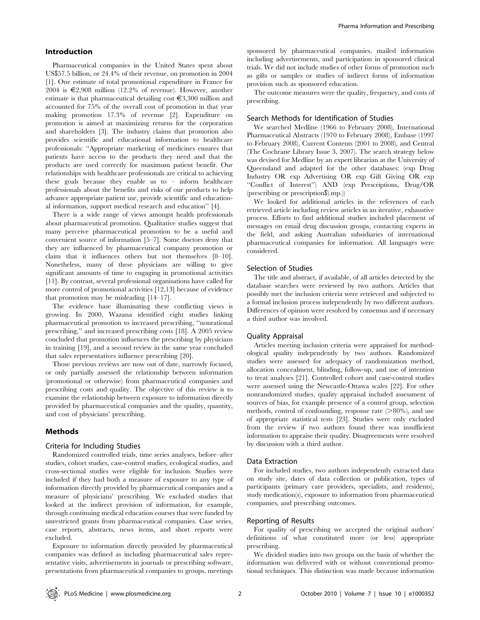### Introduction

Pharmaceutical companies in the United States spent about US\$57.5 billion, or 24.4% of their revenue, on promotion in 2004 [1]. One estimate of total promotional expenditure in France for 2004 is  $\epsilon$ 2,908 million (12.2% of revenue). However, another estimate is that pharmaceutical detailing cost  $\epsilon$ 3,300 million and accounted for 75% of the overall cost of promotion in that year making promotion 17.3% of revenue [2]. Expenditure on promotion is aimed at maximizing returns for the corporation and shareholders [3]. The industry claims that promotion also provides scientific and educational information to healthcare professionals: ''Appropriate marketing of medicines ensures that patients have access to the products they need and that the products are used correctly for maximum patient benefit. Our relationships with healthcare professionals are critical to achieving these goals because they enable us to – inform healthcare professionals about the benefits and risks of our products to help advance appropriate patient use, provide scientific and educational information, support medical research and education'' [4].

There is a wide range of views amongst health professionals about pharmaceutical promotion. Qualitative studies suggest that many perceive pharmaceutical promotion to be a useful and convenient source of information [5–7]. Some doctors deny that they are influenced by pharmaceutical company promotion or claim that it influences others but not themselves [8–10]. Nonetheless, many of these physicians are willing to give significant amounts of time to engaging in promotional activities [11]. By contrast, several professional organisations have called for more control of promotional activities [12,13] because of evidence that promotion may be misleading [14–17].

The evidence base illuminating these conflicting views is growing. In 2000, Wazana identified eight studies linking pharmaceutical promotion to increased prescribing, ''nonrational prescribing,'' and increased prescribing costs [18]. A 2005 review concluded that promotion influences the prescribing by physicians in training [19], and a second review in the same year concluded that sales representatives influence prescribing [20].

Those previous reviews are now out of date, narrowly focused, or only partially assessed the relationship between information (promotional or otherwise) from pharmaceutical companies and prescribing costs and quality. The objective of this review is to examine the relationship between exposure to information directly provided by pharmaceutical companies and the quality, quantity, and cost of physicians' prescribing.

### Methods

#### Criteria for Including Studies

Randomized controlled trials, time series analyses, before–after studies, cohort studies, case-control studies, ecological studies, and cross-sectional studies were eligible for inclusion. Studies were included if they had both a measure of exposure to any type of information directly provided by pharmaceutical companies and a measure of physicians' prescribing. We excluded studies that looked at the indirect provision of information, for example, through continuing medical education courses that were funded by unrestricted grants from pharmaceutical companies. Case series, case reports, abstracts, news items, and short reports were excluded.

Exposure to information directly provided by pharmaceutical companies was defined as including pharmaceutical sales representative visits, advertisements in journals or prescribing software, presentations from pharmaceutical companies to groups, meetings sponsored by pharmaceutical companies, mailed information including advertisements, and participation in sponsored clinical trials. We did not include studies of other forms of promotion such as gifts or samples or studies of indirect forms of information provision such as sponsored education.

The outcome measures were the quality, frequency, and costs of prescribing.

### Search Methods for Identification of Studies

We searched Medline (1966 to February 2008), International Pharmaceutical Abstracts (1970 to February 2008), Embase (1997 to February 2008), Current Contents (2001 to 2008), and Central (The Cochrane Library Issue 3, 2007). The search strategy below was devised for Medline by an expert librarian at the University of Queensland and adapted for the other databases: (exp Drug Industry OR exp Advertising OR exp Gift Giving OR exp ''Conflict of Interest'') AND (exp Prescriptions, Drug/OR (prescribing or prescription\$).mp.))

We looked for additional articles in the references of each retrieved article including review articles in an iterative, exhaustive process. Efforts to find additional studies included placement of messages on email drug discussion groups, contacting experts in the field, and asking Australian subsidiaries of international pharmaceutical companies for information. All languages were considered.

### Selection of Studies

The title and abstract, if available, of all articles detected by the database searches were reviewed by two authors. Articles that possibly met the inclusion criteria were retrieved and subjected to a formal inclusion process independently by two different authors. Differences of opinion were resolved by consensus and if necessary a third author was involved.

### Quality Appraisal

Articles meeting inclusion criteria were appraised for methodological quality independently by two authors. Randomized studies were assessed for adequacy of randomization method, allocation concealment, blinding, follow-up, and use of intention to treat analyses [21]. Controlled cohort and case-control studies were assessed using the Newcastle-Ottawa scales [22]. For other nonrandomized studies, quality appraisal included assessment of sources of bias, for example presence of a control group, selection methods, control of confounding, response rate  $(>80\%)$ , and use of appropriate statistical tests [23]. Studies were only excluded from the review if two authors found there was insufficient information to appraise their quality. Disagreements were resolved by discussion with a third author.

### Data Extraction

For included studies, two authors independently extracted data on study site, dates of data collection or publication, types of participants (primary care providers, specialists, and residents), study medication(s), exposure to information from pharmaceutical companies, and prescribing outcomes.

### Reporting of Results

For quality of prescribing we accepted the original authors' definitions of what constituted more (or less) appropriate prescribing.

We divided studies into two groups on the basis of whether the information was delivered with or without conventional promotional techniques. This distinction was made because information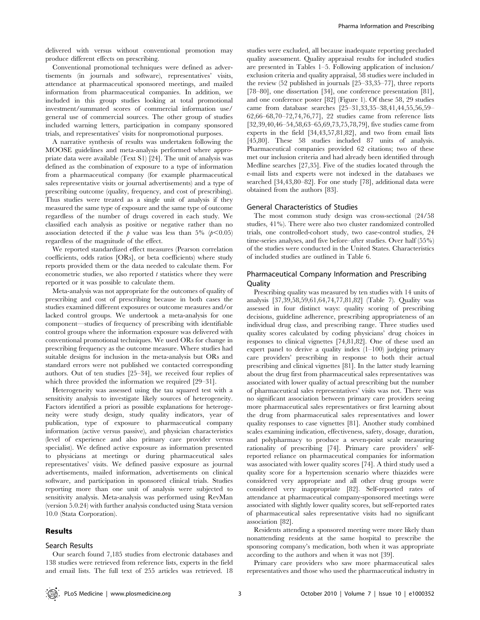delivered with versus without conventional promotion may produce different effects on prescribing.

Conventional promotional techniques were defined as advertisements (in journals and software), representatives' visits, attendance at pharmaceutical sponsored meetings, and mailed information from pharmaceutical companies. In addition, we included in this group studies looking at total promotional investment/summated scores of commercial information use/ general use of commercial sources. The other group of studies included warning letters, participation in company sponsored trials, and representatives' visits for nonpromotional purposes.

A narrative synthesis of results was undertaken following the MOOSE guidelines and meta-analysis performed where appropriate data were available (Text S1) [24]. The unit of analysis was defined as the combination of exposure to a type of information from a pharmaceutical company (for example pharmaceutical sales representative visits or journal advertisements) and a type of prescribing outcome (quality, frequency, and cost of prescribing). Thus studies were treated as a single unit of analysis if they measured the same type of exposure and the same type of outcome regardless of the number of drugs covered in each study. We classified each analysis as positive or negative rather than no association detected if the  $p$  value was less than 5% ( $p$ <0.05) regardless of the magnitude of the effect.

We reported standardized effect measures (Pearson correlation coefficients, odds ratios [ORs], or beta coefficients) where study reports provided them or the data needed to calculate them. For econometric studies, we also reported  $t$  statistics where they were reported or it was possible to calculate them.

Meta-analysis was not appropriate for the outcomes of quality of prescribing and cost of prescribing because in both cases the studies examined different exposures or outcome measures and/or lacked control groups. We undertook a meta-analysis for one component—studies of frequency of prescribing with identifiable control groups where the information exposure was delivered with conventional promotional techniques. We used ORs for change in prescribing frequency as the outcome measure. Where studies had suitable designs for inclusion in the meta-analysis but ORs and standard errors were not published we contacted corresponding authors. Out of ten studies [25–34], we received four replies of which three provided the information we required [29–31].

Heterogeneity was assessed using the tau squared test with a sensitivity analysis to investigate likely sources of heterogeneity. Factors identified a priori as possible explanations for heterogeneity were study design, study quality indicators, year of publication, type of exposure to pharmaceutical company information (active versus passive), and physician characteristics (level of experience and also primary care provider versus specialist). We defined active exposure as information presented to physicians at meetings or during pharmaceutical sales representatives' visits. We defined passive exposure as journal advertisements, mailed information, advertisements on clinical software, and participation in sponsored clinical trials. Studies reporting more than one unit of analysis were subjected to sensitivity analysis. Meta-analysis was performed using RevMan (version 5.0.24) with further analysis conducted using Stata version 10.0 (Stata Corporation).

### Results

#### Search Results

studies were excluded, all because inadequate reporting precluded quality assessment. Quality appraisal results for included studies are presented in Tables 1–5. Following application of inclusion/ exclusion criteria and quality appraisal, 58 studies were included in the review (52 published in journals [25–33,35–77], three reports [78–80], one dissertation [34], one conference presentation [81], and one conference poster [82] (Figure 1). Of these 58, 29 studies came from database searches [25–31,33,35–38,41,44,55,56,59– 62,66–68,70–72,74,76,77], 22 studies came from reference lists [32,39,40,46–54,58,63–65,69,73,75,78,79], five studies came from experts in the field [34,43,57,81,82], and two from email lists [45,80]. These 58 studies included 87 units of analysis. Pharmaceutical companies provided 62 citations; two of these met our inclusion criteria and had already been identified through Medline searches [27,35]. Five of the studies located through the e-mail lists and experts were not indexed in the databases we searched [34,43,80–82]. For one study [78], additional data were obtained from the authors [83].

### General Characteristics of Studies

The most common study design was cross-sectional (24/58 studies, 41%). There were also two cluster randomized controlled trials, one controlled-cohort study, two case-control studies, 24 time-series analyses, and five before–after studies. Over half (55%) of the studies were conducted in the United States. Characteristics of included studies are outlined in Table 6.

## Pharmaceutical Company Information and Prescribing **Ouality**

Prescribing quality was measured by ten studies with 14 units of analysis [37,39,58,59,61,64,74,77,81,82] (Table 7). Quality was assessed in four distinct ways: quality scoring of prescribing decisions, guideline adherence, prescribing appropriateness of an individual drug class, and prescribing range. Three studies used quality scores calculated by coding physicians' drug choices in responses to clinical vignettes [74,81,82]. One of these used an expert panel to derive a quality index (1–100) judging primary care providers' prescribing in response to both their actual prescribing and clinical vignettes [81]. In the latter study learning about the drug first from pharmaceutical sales representatives was associated with lower quality of actual prescribing but the number of pharmaceutical sales representatives' visits was not. There was no significant association between primary care providers seeing more pharmaceutical sales representatives or first learning about the drug from pharmaceutical sales representatives and lower quality responses to case vignettes [81]. Another study combined scales examining indication, effectiveness, safety, dosage, duration, and polypharmacy to produce a seven-point scale measuring rationality of prescribing [74]. Primary care providers' selfreported reliance on pharmaceutical companies for information was associated with lower quality scores [74]. A third study used a quality score for a hypertension scenario where thiazides were considered very appropriate and all other drug groups were considered very inappropriate [82]. Self-reported rates of attendance at pharmaceutical company-sponsored meetings were associated with slightly lower quality scores, but self-reported rates of pharmaceutical sales representative visits had no significant association [82].

Residents attending a sponsored meeting were more likely than nonattending residents at the same hospital to prescribe the sponsoring company's medication, both when it was appropriate according to the authors and when it was not [39].

Our search found 7,185 studies from electronic databases and 138 studies were retrieved from reference lists, experts in the field and email lists. The full text of 255 articles was retrieved. 18

Primary care providers who saw more pharmaceutical sales representatives and those who used the pharmaceutical industry in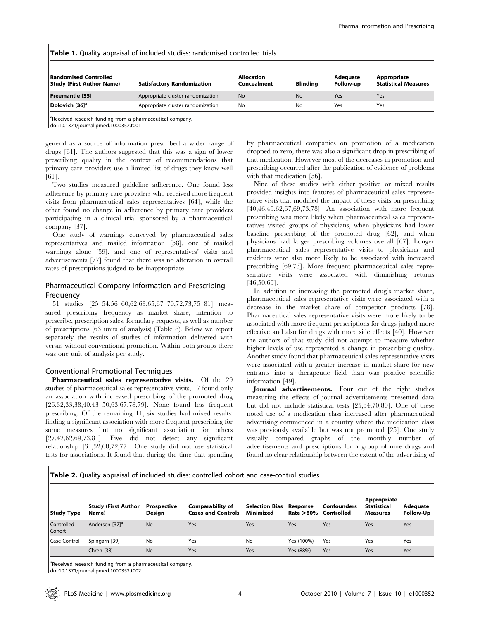Table 1. Quality appraisal of included studies: randomised controlled trials.

| Randomised Controlled<br><b>Study (First Author Name)</b><br><b>Satisfactory Randomization</b> |                                   | <b>Allocation</b><br>Concealment | Blindina | Adequate<br>Follow-up | Appropriate<br><b>Statistical Measures</b> |
|------------------------------------------------------------------------------------------------|-----------------------------------|----------------------------------|----------|-----------------------|--------------------------------------------|
| Freemantle [35]                                                                                | Appropriate cluster randomization | <b>No</b>                        | No       | Yes                   | Yes                                        |
| Dolovich [36] <sup>a</sup>                                                                     | Appropriate cluster randomization | No                               | No       | Yes                   | Yes                                        |

<sup>a</sup>Received research funding from a pharmaceutical company.

doi:10.1371/journal.pmed.1000352.t001

general as a source of information prescribed a wider range of drugs [61]. The authors suggested that this was a sign of lower prescribing quality in the context of recommendations that primary care providers use a limited list of drugs they know well [61].

Two studies measured guideline adherence. One found less adherence by primary care providers who received more frequent visits from pharmaceutical sales representatives [64], while the other found no change in adherence by primary care providers participating in a clinical trial sponsored by a pharmaceutical company [37].

One study of warnings conveyed by pharmaceutical sales representatives and mailed information [58], one of mailed warnings alone [59], and one of representatives' visits and advertisements [77] found that there was no alteration in overall rates of prescriptions judged to be inappropriate.

## Pharmaceutical Company Information and Prescribing Frequency

51 studies [25–54,56–60,62,63,65,67–70,72,73,75–81] measured prescribing frequency as market share, intention to prescribe, prescription sales, formulary requests, as well as number of prescriptions (63 units of analysis) (Table 8). Below we report separately the results of studies of information delivered with versus without conventional promotion. Within both groups there was one unit of analysis per study.

### Conventional Promotional Techniques

Pharmaceutical sales representative visits. Of the 29 studies of pharmaceutical sales representative visits, 17 found only an association with increased prescribing of the promoted drug [26,32,33,38,40,43–50,63,67,78,79]. None found less frequent prescribing. Of the remaining 11, six studies had mixed results: finding a significant association with more frequent prescribing for some measures but no significant association for others [27,42,62,69,73,81]. Five did not detect any significant relationship [31,52,68,72,77]. One study did not use statistical tests for associations. It found that during the time that spending

by pharmaceutical companies on promotion of a medication dropped to zero, there was also a significant drop in prescribing of that medication. However most of the decreases in promotion and prescribing occurred after the publication of evidence of problems with that medication [56].

Nine of these studies with either positive or mixed results provided insights into features of pharmaceutical sales representative visits that modified the impact of these visits on prescribing [40,46,49,62,67,69,73,78]. An association with more frequent prescribing was more likely when pharmaceutical sales representatives visited groups of physicians, when physicians had lower baseline prescribing of the promoted drug [62], and when physicians had larger prescribing volumes overall [67]. Longer pharmaceutical sales representative visits to physicians and residents were also more likely to be associated with increased prescribing [69,73]. More frequent pharmaceutical sales representative visits were associated with diminishing returns [46,50,69].

In addition to increasing the promoted drug's market share, pharmaceutical sales representative visits were associated with a decrease in the market share of competitor products [78]. Pharmaceutical sales representative visits were more likely to be associated with more frequent prescriptions for drugs judged more effective and also for drugs with more side effects [40]. However the authors of that study did not attempt to measure whether higher levels of use represented a change in prescribing quality. Another study found that pharmaceutical sales representative visits were associated with a greater increase in market share for new entrants into a therapeutic field than was positive scientific information [49].

Journal advertisements. Four out of the eight studies measuring the effects of journal advertisements presented data but did not include statistical tests [25,34,70,80]. One of these noted use of a medication class increased after pharmaceutical advertising commenced in a country where the medication class was previously available but was not promoted [25]. One study visually compared graphs of the monthly number of advertisements and prescriptions for a group of nine drugs and found no clear relationship between the extent of the advertising of

Table 2. Quality appraisal of included studies: controlled cohort and case-control studies.

| Study Type           | <b>Study (First Author</b><br>Name) | Prospective<br>Design | <b>Comparability of</b><br><b>Cases and Controls</b> | <b>Selection Bias</b><br>Minimized | Response<br>Rate >80% Controlled | <b>Confounders</b> | Appropriate<br><b>Statistical</b><br><b>Measures</b> | Adequate<br>Follow-Up |
|----------------------|-------------------------------------|-----------------------|------------------------------------------------------|------------------------------------|----------------------------------|--------------------|------------------------------------------------------|-----------------------|
| Controlled<br>Cohort | Andersen [37] <sup>a</sup>          | <b>No</b>             | Yes                                                  | Yes                                | Yes                              | Yes                | Yes                                                  | Yes                   |
| Case-Control         | Spingarn [39]                       | No                    | Yes                                                  | No                                 | Yes (100%)                       | Yes                | Yes                                                  | Yes                   |
|                      | Chren [38]                          | <b>No</b>             | Yes                                                  | Yes                                | Yes (88%)                        | Yes                | Yes                                                  | Yes                   |

<sup>a</sup>Received research funding from a pharmaceutical company.

doi:10.1371/journal.pmed.1000352.t002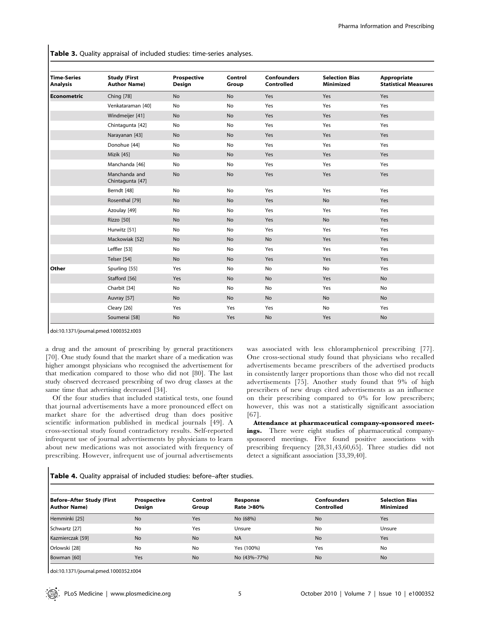Table 3. Quality appraisal of included studies: time-series analyses.

| <b>Time-Series</b><br><b>Analysis</b> | <b>Study (First</b><br><b>Author Name)</b> | Prospective<br>Design | Control<br>Group | <b>Confounders</b><br><b>Controlled</b> | <b>Selection Bias</b><br><b>Minimized</b> | <b>Appropriate</b><br><b>Statistical Measures</b> |
|---------------------------------------|--------------------------------------------|-----------------------|------------------|-----------------------------------------|-------------------------------------------|---------------------------------------------------|
| <b>Econometric</b>                    | <b>Ching [78]</b>                          | <b>No</b>             | <b>No</b>        | Yes                                     | Yes                                       | Yes                                               |
|                                       | Venkataraman [40]                          | <b>No</b>             | <b>No</b>        | Yes                                     | Yes                                       | Yes                                               |
|                                       | Windmeijer [41]                            | No                    | <b>No</b>        | Yes                                     | Yes                                       | Yes                                               |
|                                       | Chintagunta [42]                           | No                    | No               | Yes                                     | Yes                                       | Yes                                               |
|                                       | Narayanan [43]                             | <b>No</b>             | <b>No</b>        | Yes                                     | Yes                                       | Yes                                               |
|                                       | Donohue [44]                               | <b>No</b>             | <b>No</b>        | Yes                                     | Yes                                       | Yes                                               |
|                                       | Mizik [45]                                 | <b>No</b>             | <b>No</b>        | Yes                                     | Yes                                       | Yes                                               |
|                                       | Manchanda [46]                             | <b>No</b>             | No               | Yes                                     | Yes                                       | Yes                                               |
|                                       | Manchanda and<br>Chintagunta [47]          | <b>No</b>             | <b>No</b>        | Yes                                     | Yes                                       | Yes                                               |
|                                       | Berndt [48]                                | No                    | No               | Yes                                     | Yes                                       | Yes                                               |
|                                       | Rosenthal [79]                             | No                    | <b>No</b>        | Yes                                     | No                                        | Yes                                               |
|                                       | Azoulay [49]                               | <b>No</b>             | <b>No</b>        | Yes                                     | Yes                                       | Yes                                               |
|                                       | Rizzo [50]                                 | <b>No</b>             | <b>No</b>        | Yes                                     | <b>No</b>                                 | Yes                                               |
|                                       | Hurwitz [51]                               | No                    | <b>No</b>        | Yes                                     | Yes                                       | Yes                                               |
|                                       | Mackowiak [52]                             | No                    | <b>No</b>        | No                                      | Yes                                       | Yes                                               |
|                                       | Leffler [53]                               | <b>No</b>             | <b>No</b>        | Yes                                     | Yes                                       | Yes                                               |
|                                       | Telser [54]                                | <b>No</b>             | <b>No</b>        | Yes                                     | Yes                                       | Yes                                               |
| Other                                 | Spurling [55]                              | Yes                   | <b>No</b>        | No                                      | No                                        | Yes                                               |
|                                       | Stafford [56]                              | Yes                   | <b>No</b>        | No                                      | Yes                                       | <b>No</b>                                         |
|                                       | Charbit [34]                               | <b>No</b>             | <b>No</b>        | No                                      | Yes                                       | <b>No</b>                                         |
|                                       | Auvray [57]                                | No                    | <b>No</b>        | <b>No</b>                               | No                                        | <b>No</b>                                         |
|                                       | Cleary [26]                                | Yes                   | Yes              | Yes                                     | No                                        | Yes                                               |
|                                       | Soumerai [58]                              | No                    | Yes              | No                                      | Yes                                       | <b>No</b>                                         |

doi:10.1371/journal.pmed.1000352.t003

a drug and the amount of prescribing by general practitioners [70]. One study found that the market share of a medication was higher amongst physicians who recognised the advertisement for that medication compared to those who did not [80]. The last study observed decreased prescribing of two drug classes at the same time that advertising decreased [34].

Of the four studies that included statistical tests, one found that journal advertisements have a more pronounced effect on market share for the advertised drug than does positive scientific information published in medical journals [49]. A cross-sectional study found contradictory results. Self-reported infrequent use of journal advertisements by physicians to learn about new medications was not associated with frequency of prescribing. However, infrequent use of journal advertisements was associated with less chloramphenicol prescribing [77]. One cross-sectional study found that physicians who recalled advertisements became prescribers of the advertised products in consistently larger proportions than those who did not recall advertisements [75]. Another study found that 9% of high prescribers of new drugs cited advertisements as an influence on their prescribing compared to 0% for low prescribers; however, this was not a statistically significant association [67].

Attendance at pharmaceutical company-sponsored meetings. There were eight studies of pharmaceutical companysponsored meetings. Five found positive associations with prescribing frequency [28,31,43,60,65]. Three studies did not detect a significant association [33,39,40].

# Table 4. Quality appraisal of included studies: before–after studies.

| <b>Before-After Study (First</b><br><b>Author Name)</b> | Prospective<br>Design | Control<br>Group | Response<br>Rate >80% | <b>Confounders</b><br><b>Controlled</b> | <b>Selection Bias</b><br>Minimized |
|---------------------------------------------------------|-----------------------|------------------|-----------------------|-----------------------------------------|------------------------------------|
| Hemminki [25]                                           | <b>No</b>             | Yes              | No (68%)              | <b>No</b>                               | Yes                                |
| Schwartz [27]                                           | No                    | Yes              | Unsure                | No                                      | Unsure                             |
| Kazmierczak [59]                                        | <b>No</b>             | <b>No</b>        | <b>NA</b>             | <b>No</b>                               | Yes                                |
| Orlowski [28]                                           | No                    | No               | Yes (100%)            | Yes                                     | No                                 |
| Bowman [60]                                             | Yes                   | <b>No</b>        | No (43%-77%)          | <b>No</b>                               | <b>No</b>                          |

doi:10.1371/journal.pmed.1000352.t004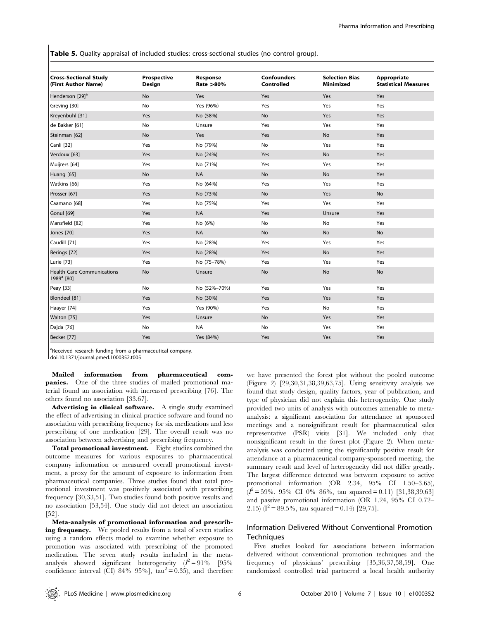Table 5. Quality appraisal of included studies: cross-sectional studies (no control group).

| <b>Cross-Sectional Study</b><br>(First Author Name)         | Prospective<br>Design | Response<br>Rate >80% | <b>Confounders</b><br><b>Controlled</b> | <b>Selection Bias</b><br><b>Minimized</b> | <b>Appropriate</b><br><b>Statistical Measures</b> |
|-------------------------------------------------------------|-----------------------|-----------------------|-----------------------------------------|-------------------------------------------|---------------------------------------------------|
| Henderson [29] <sup>a</sup>                                 | No                    | Yes                   | Yes                                     | Yes                                       | Yes                                               |
| Greving [30]                                                | No                    | Yes (96%)             | Yes                                     | Yes                                       | Yes                                               |
| Kreyenbuhl [31]                                             | Yes                   | No (58%)              | No                                      | Yes                                       | Yes                                               |
| de Bakker [61]                                              | <b>No</b>             | Unsure                | Yes                                     | Yes                                       | Yes                                               |
| Steinman [62]                                               | No                    | Yes                   | Yes                                     | No                                        | Yes                                               |
| Canli [32]                                                  | Yes                   | No (79%)              | No                                      | Yes                                       | Yes                                               |
| Verdoux [63]                                                | Yes                   | No (24%)              | Yes                                     | <b>No</b>                                 | Yes                                               |
| Muijrers [64]                                               | Yes                   | No (71%)              | Yes                                     | Yes                                       | Yes                                               |
| Huang [65]                                                  | <b>No</b>             | <b>NA</b>             | <b>No</b>                               | <b>No</b>                                 | Yes                                               |
| Watkins [66]                                                | Yes                   | No (64%)              | Yes                                     | Yes                                       | Yes                                               |
| Prosser [67]                                                | Yes                   | No (73%)              | <b>No</b>                               | Yes                                       | <b>No</b>                                         |
| Caamano [68]                                                | Yes                   | No (75%)              | Yes                                     | Yes                                       | Yes                                               |
| <b>Gonul</b> [69]                                           | Yes                   | <b>NA</b>             | Yes                                     | Unsure                                    | Yes                                               |
| Mansfield [82]                                              | Yes                   | No (6%)               | No                                      | No                                        | Yes                                               |
| Jones [70]                                                  | Yes                   | <b>NA</b>             | <b>No</b>                               | No                                        | No                                                |
| Caudill [71]                                                | Yes                   | No (28%)              | Yes                                     | Yes                                       | Yes                                               |
| Berings [72]                                                | Yes                   | No (28%)              | Yes                                     | No                                        | Yes                                               |
| Lurie [73]                                                  | Yes                   | No (75-78%)           | Yes                                     | Yes                                       | Yes                                               |
| <b>Health Care Communications</b><br>1989 <sup>ª</sup> [80] | No                    | Unsure                | No                                      | No                                        | <b>No</b>                                         |
| Peay [33]                                                   | <b>No</b>             | No (52%-70%)          | Yes                                     | Yes                                       | Yes                                               |
| Blondeel [81]                                               | Yes                   | No (30%)              | Yes                                     | Yes                                       | Yes                                               |
| Haayer [74]                                                 | Yes                   | Yes (90%)             | Yes                                     | No                                        | Yes                                               |
| Walton [75]                                                 | Yes                   | Unsure                | <b>No</b>                               | Yes                                       | Yes                                               |
| Dajda [76]                                                  | No                    | <b>NA</b>             | No                                      | Yes                                       | Yes                                               |
| Becker [77]                                                 | Yes                   | Yes (84%)             | Yes                                     | Yes                                       | Yes                                               |

<sup>a</sup>Received research funding from a pharmaceutical company.

doi:10.1371/journal.pmed.1000352.t005

Mailed information from pharmaceutical companies. One of the three studies of mailed promotional material found an association with increased prescribing [76]. The others found no association [33,67].

Advertising in clinical software. A single study examined the effect of advertising in clinical practice software and found no association with prescribing frequency for six medications and less prescribing of one medication [29]. The overall result was no association between advertising and prescribing frequency.

Total promotional investment. Eight studies combined the outcome measures for various exposures to pharmaceutical company information or measured overall promotional investment, a proxy for the amount of exposure to information from pharmaceutical companies. Three studies found that total promotional investment was positively associated with prescribing frequency [30,33,51]. Two studies found both positive results and no association [53,54]. One study did not detect an association [52].

Meta-analysis of promotional information and prescribing frequency. We pooled results from a total of seven studies using a random effects model to examine whether exposure to promotion was associated with prescribing of the promoted medication. The seven study results included in the metaanalysis showed significant heterogeneity  $(I^2 = 91\%$  [95% confidence interval (CI) 84%–95%],  $tau^2 = 0.35$ ), and therefore

we have presented the forest plot without the pooled outcome (Figure 2) [29,30,31,38,39,63,75]. Using sensitivity analysis we found that study design, quality factors, year of publication, and type of physician did not explain this heterogeneity. One study provided two units of analysis with outcomes amenable to metaanalysis: a significant association for attendance at sponsored meetings and a nonsignificant result for pharmaceutical sales representative (PSR) visits [31]. We included only that nonsignificant result in the forest plot (Figure 2). When metaanalysis was conducted using the significantly positive result for attendance at a pharmaceutical company-sponsored meeting, the summary result and level of heterogeneity did not differ greatly. The largest difference detected was between exposure to active promotional information (OR 2.34, 95% CI 1.50–3.65),  $(I^2 = 59\%, 95\% \text{ CI } 0\% - 86\%, \text{ tau squared} = 0.11) [31,38,39,63]$ and passive promotional information (OR 1.24, 95% CI 0.72– 2.15) ( $I^2 = 89.5\%$ , tau squared = 0.14) [29,75].

# Information Delivered Without Conventional Promotion **Techniques**

Five studies looked for associations between information delivered without conventional promotion techniques and the frequency of physicians' prescribing [35,36,37,58,59]. One randomized controlled trial partnered a local health authority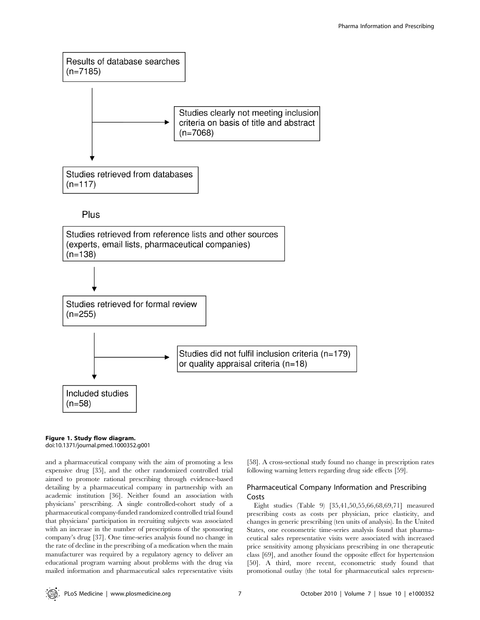

Figure 1. Study flow diagram. doi:10.1371/journal.pmed.1000352.g001

and a pharmaceutical company with the aim of promoting a less expensive drug [35], and the other randomized controlled trial aimed to promote rational prescribing through evidence-based detailing by a pharmaceutical company in partnership with an academic institution [36]. Neither found an association with physicians' prescribing. A single controlled-cohort study of a pharmaceutical company-funded randomized controlled trial found that physicians' participation in recruiting subjects was associated with an increase in the number of prescriptions of the sponsoring company's drug [37]. One time-series analysis found no change in the rate of decline in the prescribing of a medication when the main manufacturer was required by a regulatory agency to deliver an educational program warning about problems with the drug via mailed information and pharmaceutical sales representative visits

[58]. A cross-sectional study found no change in prescription rates following warning letters regarding drug side effects [59].

# Pharmaceutical Company Information and Prescribing Costs

Eight studies (Table 9) [35,41,50,55,66,68,69,71] measured prescribing costs as costs per physician, price elasticity, and changes in generic prescribing (ten units of analysis). In the United States, one econometric time-series analysis found that pharmaceutical sales representative visits were associated with increased price sensitivity among physicians prescribing in one therapeutic class [69], and another found the opposite effect for hypertension [50]. A third, more recent, econometric study found that promotional outlay (the total for pharmaceutical sales represen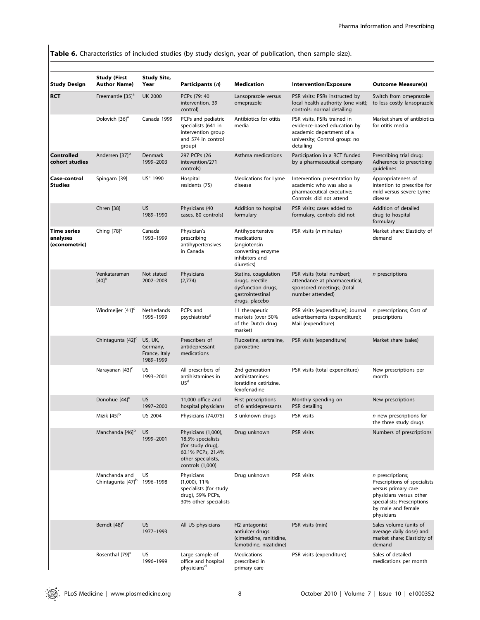Table 6. Characteristics of included studies (by study design, year of publication, then sample size).

| <b>Study Design</b>                      | <b>Study (First</b><br><b>Author Name)</b>     | <b>Study Site,</b><br>Year                        | Participants (n)                                                                                                             | Medication                                                                                           | <b>Intervention/Exposure</b>                                                                                                         | <b>Outcome Measure(s)</b>                                                                                                                                            |
|------------------------------------------|------------------------------------------------|---------------------------------------------------|------------------------------------------------------------------------------------------------------------------------------|------------------------------------------------------------------------------------------------------|--------------------------------------------------------------------------------------------------------------------------------------|----------------------------------------------------------------------------------------------------------------------------------------------------------------------|
| <b>RCT</b>                               | Freemantle [35] <sup>a</sup>                   | <b>UK 2000</b>                                    | PCPs (79: 40<br>intervention, 39<br>control)                                                                                 | Lansoprazole versus<br>omeprazole                                                                    | PSR visits: PSRs instructed by<br>local health authority (one visit);<br>controls: normal detailing                                  | Switch from omeprazole<br>to less costly lansoprazole                                                                                                                |
|                                          | Dolovich [36] <sup>a</sup>                     | Canada 1999                                       | PCPs and pediatric<br>specialists (641 in<br>intervention group<br>and 574 in control<br>group)                              | Antibiotics for otitis<br>media                                                                      | PSR visits, PSRs trained in<br>evidence-based education by<br>academic department of a<br>university; Control group: no<br>detailing | Market share of antibiotics<br>for otitis media                                                                                                                      |
| <b>Controlled</b><br>cohort studies      | Andersen [37] <sup>b</sup>                     | Denmark<br>1999-2003                              | 297 PCPs (26<br>intevention/271<br>controls)                                                                                 | Asthma medications                                                                                   | Participation in a RCT funded<br>by a pharmaceutical company                                                                         | Prescribing trial drug;<br>Adherence to prescribing<br>quidelines                                                                                                    |
| Case-control<br><b>Studies</b>           | Spingarn [39]                                  | US° 1990                                          | Hospital<br>residents (75)                                                                                                   | Medications for Lyme<br>disease                                                                      | Intervention: presentation by<br>academic who was also a<br>pharmaceutical executive;<br>Controls: did not attend                    | Appropriateness of<br>intention to prescribe for<br>mild versus severe Lyme<br>disease                                                                               |
|                                          | Chren [38]                                     | US<br>1989-1990                                   | Physicians (40<br>cases, 80 controls)                                                                                        | Addition to hospital<br>formulary                                                                    | PSR visits; cases added to<br>formulary, controls did not                                                                            | Addition of detailed<br>drug to hospital<br>formulary                                                                                                                |
| Time series<br>analyses<br>(econometric) | Ching $[78]$ <sup>c</sup>                      | Canada<br>1993-1999                               | Physician's<br>prescribing<br>antihypertensives<br>in Canada                                                                 | Antihypertensive<br>medications<br>(angiotensin<br>converting enzyme<br>inhibitors and<br>diuretics) | PSR visits (n minutes)                                                                                                               | Market share; Elasticity of<br>demand                                                                                                                                |
|                                          | Venkataraman<br>$[40]$ <sup>b</sup>            | Not stated<br>2002-2003                           | Physicians<br>(2,774)                                                                                                        | Statins, coagulation<br>drugs, erectile<br>dysfunction drugs,<br>gastrointestinal<br>drugs, placebo  | PSR visits (total number);<br>attendance at pharmaceutical;<br>sponsored meetings; (total<br>number attended)                        | $n$ prescriptions                                                                                                                                                    |
|                                          | Windmeijer $[41]^\mathsf{c}$                   | Netherlands<br>1995-1999                          | PCPs and<br>psychiatrists <sup>d</sup>                                                                                       | 11 therapeutic<br>markets (over 50%<br>of the Dutch drug<br>market)                                  | PSR visits (expenditure); Journal<br>advertisements (expenditure);<br>Mail (expenditure)                                             | n prescriptions; Cost of<br>prescriptions                                                                                                                            |
|                                          | Chintagunta [42] <sup>c</sup>                  | US, UK,<br>Germany,<br>France, Italy<br>1989-1999 | Prescribers of<br>antidepressant<br>medications                                                                              | Fluoxetine, sertraline,<br>paroxetine                                                                | PSR visits (expenditure)                                                                                                             | Market share (sales)                                                                                                                                                 |
|                                          | Narayanan [43] <sup>e</sup>                    | US<br>1993-2001                                   | All prescribers of<br>antihistamines in<br>US <sup>d</sup>                                                                   | 2nd generation<br>antihistamines:<br>loratidine cetirizine,<br>fexofenadine                          | PSR visits (total expenditure)                                                                                                       | New prescriptions per<br>month                                                                                                                                       |
|                                          | Donohue [44] <sup>c</sup>                      | <b>US</b><br>1997-2000                            | 11,000 office and<br>hospital physicians                                                                                     | First prescriptions<br>of 6 antidepressants                                                          | Monthly spending on<br>PSR detailing                                                                                                 | New prescriptions                                                                                                                                                    |
|                                          | Mizik [45] <sup>b</sup>                        | <b>US 2004</b>                                    | Physicians (74,075)                                                                                                          | 3 unknown drugs                                                                                      | <b>PSR</b> visits                                                                                                                    | $n$ new prescriptions for<br>the three study drugs                                                                                                                   |
|                                          | Manchanda [46] <sup>b</sup>                    | <b>US</b><br>1999-2001                            | Physicians (1,000),<br>18.5% specialists<br>(for study drug),<br>60.1% PCPs, 21.4%<br>other specialists,<br>controls (1,000) | Drug unknown                                                                                         | PSR visits                                                                                                                           | Numbers of prescriptions                                                                                                                                             |
|                                          | Manchanda and<br>Chintagunta [47] <sup>b</sup> | US<br>1996-1998                                   | Physicians<br>$(1,000)$ , 11%<br>specialists (for study<br>drug), 59% PCPs,<br>30% other specialists                         | Drug unknown                                                                                         | PSR visits                                                                                                                           | n prescriptions;<br>Prescriptions of specialists<br>versus primary care<br>physicians versus other<br>specialists; Prescriptions<br>by male and female<br>physicians |
|                                          | Berndt [48] <sup>c</sup>                       | US<br>1977-1993                                   | All US physicians                                                                                                            | H <sub>2</sub> antagonist<br>antiulcer drugs<br>(cimetidine, ranitidine,<br>famotidine, nizatidine)  | PSR visits (min)                                                                                                                     | Sales volume (units of<br>average daily dose) and<br>market share; Elasticity of<br>demand                                                                           |
|                                          | Rosenthal [79] <sup>c</sup>                    | US<br>1996-1999                                   | Large sample of<br>office and hospital<br>physicians <sup>d</sup>                                                            | Medications<br>prescribed in<br>primary care                                                         | PSR visits (expenditure)                                                                                                             | Sales of detailed<br>medications per month                                                                                                                           |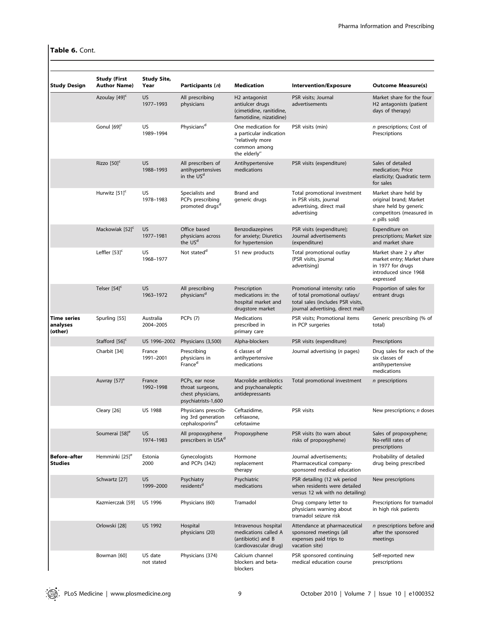Table 6. Cont.

| <b>Study Design</b>                       | <b>Study (First</b><br><b>Author Name)</b> | <b>Study Site,</b><br>Year | Participants (n)                                                               | <b>Medication</b>                                                                                   | <b>Intervention/Exposure</b>                                                                                                            | <b>Outcome Measure(s)</b>                                                                                              |
|-------------------------------------------|--------------------------------------------|----------------------------|--------------------------------------------------------------------------------|-----------------------------------------------------------------------------------------------------|-----------------------------------------------------------------------------------------------------------------------------------------|------------------------------------------------------------------------------------------------------------------------|
|                                           | Azoulay [49] <sup>c</sup>                  | <b>US</b><br>1977-1993     | All prescribing<br>physicians                                                  | H <sub>2</sub> antagonist<br>antiulcer drugs<br>(cimetidine, ranitidine,<br>famotidine, nizatidine) | PSR visits; Journal<br>advertisements                                                                                                   | Market share for the four<br>H <sub>2</sub> antagonists (patient<br>days of therapy)                                   |
|                                           | Gonul $[69]$ <sup>c</sup>                  | US<br>1989-1994            | Physicians <sup>d</sup>                                                        | One medication for<br>a particular indication<br>"relatively more<br>common among<br>the elderly"   | PSR visits (min)                                                                                                                        | n prescriptions; Cost of<br>Prescriptions                                                                              |
|                                           | Rizzo $[50]$ <sup>c</sup>                  | <b>US</b><br>1988-1993     | All prescribers of<br>antihypertensives<br>in the US <sup>d</sup>              | Antihypertensive<br>medications                                                                     | PSR visits (expenditure)                                                                                                                | Sales of detailed<br>medication; Price<br>elasticity; Quadratic term<br>for sales                                      |
|                                           | Hurwitz $[51]$ <sup>c</sup>                | US<br>1978-1983            | Specialists and<br>PCPs prescribing<br>promoted drugs <sup>d</sup>             | Brand and<br>generic drugs                                                                          | Total promotional investment<br>in PSR visits, journal<br>advertising, direct mail<br>advertising                                       | Market share held by<br>original brand; Market<br>share held by generic<br>competitors (measured in<br>$n$ pills sold) |
|                                           | Mackowiak [52] <sup>c</sup>                | <b>US</b><br>1977-1981     | Office based<br>physicians across<br>the US <sup>d</sup>                       | Benzodiazepines<br>for anxiety; Diuretics<br>for hypertension                                       | PSR visits (expenditure);<br>Journal advertisements<br>(expenditure)                                                                    | Expenditure on<br>prescriptions; Market size<br>and market share                                                       |
|                                           | Leffler $[53]$ <sup>c</sup>                | US<br>1968-1977            | Not stated <sup>d</sup>                                                        | 51 new products                                                                                     | Total promotional outlay<br>(PSR visits, journal<br>advertising)                                                                        | Market share 2 y after<br>market entry; Market share<br>in 1977 for drugs<br>introduced since 1968<br>expressed        |
|                                           | Telser $[54]$ <sup>c</sup>                 | <b>US</b><br>1963-1972     | All prescribing<br>physicians <sup>d</sup>                                     | Prescription<br>medications in: the<br>hospital market and<br>drugstore market                      | Promotional intensity: ratio<br>of total promotional outlays/<br>total sales (includes PSR visits,<br>journal advertising, direct mail) | Proportion of sales for<br>entrant drugs                                                                               |
| <b>Time series</b><br>analyses<br>(other) | Spurling [55]                              | Australia<br>2004-2005     | <b>PCPs (7)</b>                                                                | <b>Medications</b><br>prescribed in<br>primary care                                                 | PSR visits; Promotional items<br>in PCP surgeries                                                                                       | Generic prescribing (% of<br>total)                                                                                    |
|                                           | Stafford [56] <sup>c</sup>                 | US 1996-2002               | Physicians (3,500)                                                             | Alpha-blockers                                                                                      | PSR visits (expenditure)                                                                                                                | Prescriptions                                                                                                          |
|                                           | Charbit [34]                               | France<br>1991-2001        | Prescribing<br>physicians in<br>France <sup>d</sup>                            | 6 classes of<br>antihypertensive<br>medications                                                     | Journal advertising (n pages)                                                                                                           | Drug sales for each of the<br>six classes of<br>antihypertensive<br>medications                                        |
|                                           | Auvray [57] <sup>e</sup>                   | France<br>1992-1998        | PCPs, ear nose<br>throat surgeons,<br>chest physicians,<br>psychiatrists-1,600 | Macrolide antibiotics<br>and psychoanaleptic<br>antidepressants                                     | Total promotional investment                                                                                                            | $n$ prescriptions                                                                                                      |
|                                           | Cleary [26]                                | <b>US 1988</b>             | Physicians prescrib-<br>ing 3rd generation<br>cephalosporins <sup>d</sup>      | Ceftazidime,<br>cefriaxone,<br>cefotaxime                                                           | PSR visits                                                                                                                              | New prescriptions; n doses                                                                                             |
|                                           | Soumerai [58] <sup>e</sup>                 | <b>US</b><br>1974-1983     | All propoxyphene<br>prescribers in USA <sup>d</sup>                            | Propoxyphene                                                                                        | PSR visits (to warn about<br>risks of propoxyphene)                                                                                     | Sales of propoxyphene;<br>No-refill rates of<br>prescriptions                                                          |
| Before-after<br><b>Studies</b>            | Hemminki [25] <sup>e</sup>                 | Estonia<br>2000            | Gynecologists<br>and PCPs (342)                                                | Hormone<br>replacement<br>therapy                                                                   | Journal advertisements;<br>Pharmaceutical company-<br>sponsored medical education                                                       | Probability of detailed<br>drug being prescribed                                                                       |
|                                           | Schwartz [27]                              | <b>US</b><br>1999-2000     | Psychiatry<br>residents <sup>d</sup>                                           | Psychiatric<br>medications                                                                          | PSR detailing (12 wk period<br>when residents were detailed<br>versus 12 wk with no detailing)                                          | New prescriptions                                                                                                      |
|                                           | Kazmierczak [59]                           | <b>US 1996</b>             | Physicians (60)                                                                | Tramadol                                                                                            | Drug company letter to<br>physicians warning about<br>tramadol seizure risk                                                             | Prescriptions for tramadol<br>in high risk patients                                                                    |
|                                           | Orlowski [28]                              | <b>US 1992</b>             | Hospital<br>physicians (20)                                                    | Intravenous hospital<br>medications called A<br>(antibiotic) and B<br>(cardiovascular drug)         | Attendance at pharmaceutical<br>sponsored meetings (all<br>expenses paid trips to<br>vacation site)                                     | n prescriptions before and<br>after the sponsored<br>meetings                                                          |
|                                           | Bowman [60]                                | US date<br>not stated      | Physicians (374)                                                               | Calcium channel<br>blockers and beta-<br>blockers                                                   | PSR sponsored continuing<br>medical education course                                                                                    | Self-reported new<br>prescriptions                                                                                     |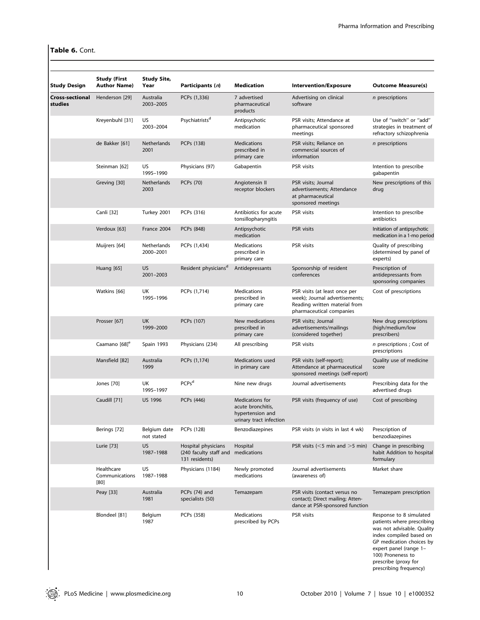Table 6. Cont.

| <b>Study Design</b>               | <b>Study (First</b><br><b>Author Name)</b> | <b>Study Site,</b><br>Year | Participants (n)                                                            | <b>Medication</b>                                                                   | <b>Intervention/Exposure</b>                                                                                                 | <b>Outcome Measure(s)</b>                                                                                                                                                                                                                   |
|-----------------------------------|--------------------------------------------|----------------------------|-----------------------------------------------------------------------------|-------------------------------------------------------------------------------------|------------------------------------------------------------------------------------------------------------------------------|---------------------------------------------------------------------------------------------------------------------------------------------------------------------------------------------------------------------------------------------|
| <b>Cross-sectional</b><br>studies | Henderson [29]                             | Australia<br>2003-2005     | PCPs (1,336)                                                                | 7 advertised<br>pharmaceutical<br>products                                          | Advertising on clinical<br>software                                                                                          | n prescriptions                                                                                                                                                                                                                             |
|                                   | Kreyenbuhl [31]                            | US<br>2003-2004            | Psychiatrists <sup>d</sup>                                                  | Antipsychotic<br>medication                                                         | PSR visits; Attendance at<br>pharmaceutical sponsored<br>meetings                                                            | Use of "switch" or "add"<br>strategies in treatment of<br>refractory schizophrenia                                                                                                                                                          |
|                                   | de Bakker [61]                             | Netherlands<br>2001        | PCPs (138)                                                                  | <b>Medications</b><br>prescribed in<br>primary care                                 | PSR visits; Reliance on<br>commercial sources of<br>information                                                              | n prescriptions                                                                                                                                                                                                                             |
|                                   | Steinman [62]                              | US<br>1995-1990            | Physicians (97)                                                             | Gabapentin                                                                          | <b>PSR</b> visits                                                                                                            | Intention to prescribe<br>gabapentin                                                                                                                                                                                                        |
|                                   | Greving [30]                               | Netherlands<br>2003        | PCPs (70)                                                                   | Angiotensin II<br>receptor blockers                                                 | PSR visits; Journal<br>advertisements; Attendance<br>at pharmaceutical<br>sponsored meetings                                 | New prescriptions of this<br>drug                                                                                                                                                                                                           |
|                                   | Canli [32]                                 | Turkey 2001                | PCPs (316)                                                                  | Antibiotics for acute<br>tonsillopharyngitis                                        | PSR visits                                                                                                                   | Intention to prescribe<br>antibiotics                                                                                                                                                                                                       |
|                                   | Verdoux [63]                               | France 2004                | PCPs (848)                                                                  | Antipsychotic<br>medication                                                         | <b>PSR</b> visits                                                                                                            | Initiation of antipsychotic<br>medication in a 1-mo period                                                                                                                                                                                  |
|                                   | Muijrers [64]                              | Netherlands<br>2000-2001   | PCPs (1,434)                                                                | <b>Medications</b><br>prescribed in<br>primary care                                 | <b>PSR</b> visits                                                                                                            | Quality of prescribing<br>(determined by panel of<br>experts)                                                                                                                                                                               |
|                                   | Huang [65]                                 | US<br>2001-2003            | Resident physicians <sup>a</sup>                                            | Antidepressants                                                                     | Sponsorship of resident<br>conferences                                                                                       | Prescription of<br>antidepressants from<br>sponsoring companies                                                                                                                                                                             |
|                                   | Watkins [66]                               | UK<br>1995-1996            | PCPs (1,714)                                                                | Medications<br>prescribed in<br>primary care                                        | PSR visits (at least once per<br>week); Journal advertisements;<br>Reading written material from<br>pharmaceutical companies | Cost of prescriptions                                                                                                                                                                                                                       |
|                                   | Prosser [67]                               | <b>UK</b><br>1999-2000     | PCPs (107)                                                                  | New medications<br>prescribed in<br>primary care                                    | PSR visits; Journal<br>advertisements/mailings<br>(considered together)                                                      | New drug prescriptions<br>(high/medium/low<br>prescribers)                                                                                                                                                                                  |
|                                   | Caamano [68] <sup>e</sup>                  | Spain 1993                 | Physicians (234)                                                            | All prescribing                                                                     | <b>PSR</b> visits                                                                                                            | n prescriptions; Cost of<br>prescriptions                                                                                                                                                                                                   |
|                                   | Mansfield [82]                             | Australia<br>1999          | PCPs (1,174)                                                                | Medications used<br>in primary care                                                 | PSR visits (self-report);<br>Attendance at pharmaceutical<br>sponsored meetings (self-report)                                | Quality use of medicine<br>score                                                                                                                                                                                                            |
|                                   | Jones [70]                                 | UK<br>1995-1997            | PCP <sub>s</sub> <sup>d</sup>                                               | Nine new drugs                                                                      | Journal advertisements                                                                                                       | Prescribing data for the<br>advertised drugs                                                                                                                                                                                                |
|                                   | Caudill [71]                               | <b>US 1996</b>             | PCPs (446)                                                                  | Medications for<br>acute bronchitis.<br>hypertension and<br>urinary tract infection | PSR visits (frequency of use)                                                                                                | Cost of prescribing                                                                                                                                                                                                                         |
|                                   | Berings [72]                               | Belgium date<br>not stated | PCPs (128)                                                                  | Benzodiazepines                                                                     | PSR visits (n visits in last 4 wk)                                                                                           | Prescription of<br>benzodiazepines                                                                                                                                                                                                          |
|                                   | Lurie [73]                                 | US<br>1987-1988            | Hospital physicians<br>(240 faculty staff and medications<br>131 residents) | Hospital                                                                            | PSR visits ( $<$ 5 min and $>$ 5 min)                                                                                        | Change in prescribing<br>habit Addition to hospital<br>formulary                                                                                                                                                                            |
|                                   | Healthcare<br>Communications<br>[80]       | US<br>1987-1988            | Physicians (1184)                                                           | Newly promoted<br>medications                                                       | Journal advertisements<br>(awareness of)                                                                                     | Market share                                                                                                                                                                                                                                |
|                                   | Peay [33]                                  | Australia<br>1981          | PCPs (74) and<br>specialists (50)                                           | Temazepam                                                                           | PSR visits (contact versus no<br>contact); Direct mailing; Atten-<br>dance at PSR-sponsored function                         | Temazepam prescription                                                                                                                                                                                                                      |
|                                   | Blondeel [81]                              | Belgium<br>1987            | PCPs (358)                                                                  | Medications<br>prescribed by PCPs                                                   | PSR visits                                                                                                                   | Response to 8 simulated<br>patients where prescribing<br>was not advisable. Quality<br>index compiled based on<br>GP medication choices by<br>expert panel (range 1-<br>100) Proneness to<br>prescribe (proxy for<br>prescribing frequency) |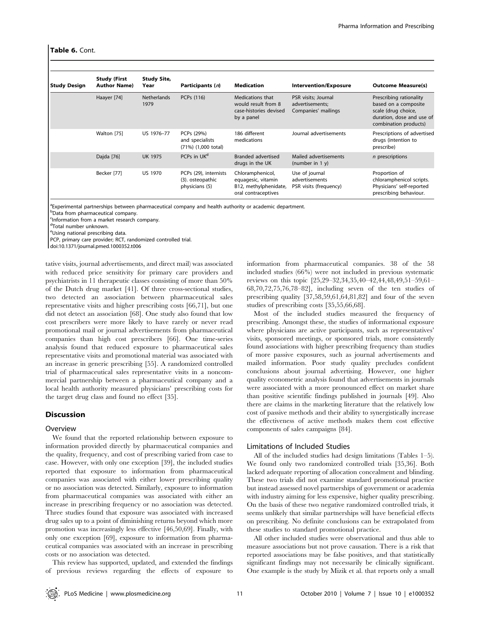Table 6. Cont.

| <b>Study Design</b> | <b>Study (First</b><br><b>Author Name)</b> | <b>Study Site,</b><br>Year | Participants (n)                                            | <b>Medication</b>                                                                      | <b>Intervention/Exposure</b>                                  | <b>Outcome Measure(s)</b>                                                                                                    |
|---------------------|--------------------------------------------|----------------------------|-------------------------------------------------------------|----------------------------------------------------------------------------------------|---------------------------------------------------------------|------------------------------------------------------------------------------------------------------------------------------|
|                     | Haayer [74]                                | <b>Netherlands</b><br>1979 | PCPs (116)                                                  | Medications that<br>would result from 8<br>case-histories devised<br>by a panel        | PSR visits; Journal<br>advertisements:<br>Companies' mailings | Prescribing rationality<br>based on a composite<br>scale (drug choice,<br>duration, dose and use of<br>combination products) |
|                     | Walton [75]                                | US 1976-77                 | PCPs (29%)<br>and specialists<br>(71%) (1,000 total)        | 186 different<br>medications                                                           | Journal advertisements                                        | Prescriptions of advertised<br>drugs (intention to<br>prescribe)                                                             |
|                     | Dajda [76]                                 | <b>UK 1975</b>             | PCPs in UK <sup>d</sup>                                     | <b>Branded advertised</b><br>drugs in the UK                                           | Mailed advertisements<br>(number in $1 y$ )                   | $n$ prescriptions                                                                                                            |
|                     | Becker [77]                                | US 1970                    | PCPs (29), internists<br>(3). osteopathic<br>physicians (5) | Chloramphenicol,<br>equagesic, vitamin<br>B12, methylphenidate,<br>oral contraceptives | Use of journal<br>advertisements<br>PSR visits (frequency)    | Proportion of<br>chloramphenicol scripts.<br>Physicians' self-reported<br>prescribing behaviour.                             |

<sup>a</sup> Experimental partnerships between pharmaceutical company and health authority or academic department.

**bData from pharmaceutical company.** 

<sup>c</sup>Information from a market research company.

<sup>d</sup>Total number unknown.

eUsing national prescribing data.

PCP, primary care provider; RCT, randomized controlled trial.

doi:10.1371/journal.pmed.1000352.t006

tative visits, journal advertisements, and direct mail) was associated with reduced price sensitivity for primary care providers and psychiatrists in 11 therapeutic classes consisting of more than 50% of the Dutch drug market [41]. Of three cross-sectional studies, two detected an association between pharmaceutical sales representative visits and higher prescribing costs [66,71], but one did not detect an association [68]. One study also found that low cost prescribers were more likely to have rarely or never read promotional mail or journal advertisements from pharmaceutical companies than high cost prescribers [66]. One time-series analysis found that reduced exposure to pharmaceutical sales representative visits and promotional material was associated with an increase in generic prescribing [55]. A randomized controlled trial of pharmaceutical sales representative visits in a noncommercial partnership between a pharmaceutical company and a local health authority measured physicians' prescribing costs for the target drug class and found no effect [35].

### **Discussion**

### Overview

We found that the reported relationship between exposure to information provided directly by pharmaceutical companies and the quality, frequency, and cost of prescribing varied from case to case. However, with only one exception [39], the included studies reported that exposure to information from pharmaceutical companies was associated with either lower prescribing quality or no association was detected. Similarly, exposure to information from pharmaceutical companies was associated with either an increase in prescribing frequency or no association was detected. Three studies found that exposure was associated with increased drug sales up to a point of diminishing returns beyond which more promotion was increasingly less effective [46,50,69]. Finally, with only one exception [69], exposure to information from pharmaceutical companies was associated with an increase in prescribing costs or no association was detected.

This review has supported, updated, and extended the findings of previous reviews regarding the effects of exposure to information from pharmaceutical companies. 38 of the 58 included studies (66%) were not included in previous systematic reviews on this topic [25,29–32,34,35,40–42,44,48,49,51–59,61– 68,70,72,75,76,78–82], including seven of the ten studies of prescribing quality [37,58,59,61,64,81,82] and four of the seven studies of prescribing costs [35,55,66,68].

Most of the included studies measured the frequency of prescribing. Amongst these, the studies of informational exposure where physicians are active participants, such as representatives' visits, sponsored meetings, or sponsored trials, more consistently found associations with higher prescribing frequency than studies of more passive exposures, such as journal advertisements and mailed information. Poor study quality precludes confident conclusions about journal advertising. However, one higher quality econometric analysis found that advertisements in journals were associated with a more pronounced effect on market share than positive scientific findings published in journals [49]. Also there are claims in the marketing literature that the relatively low cost of passive methods and their ability to synergistically increase the effectiveness of active methods makes them cost effective components of sales campaigns [84].

### Limitations of Included Studies

All of the included studies had design limitations (Tables 1–5). We found only two randomized controlled trials [35,36]. Both lacked adequate reporting of allocation concealment and blinding. These two trials did not examine standard promotional practice but instead assessed novel partnerships of government or academia with industry aiming for less expensive, higher quality prescribing. On the basis of these two negative randomized controlled trials, it seems unlikely that similar partnerships will have beneficial effects on prescribing. No definite conclusions can be extrapolated from these studies to standard promotional practice.

All other included studies were observational and thus able to measure associations but not prove causation. There is a risk that reported associations may be false positives, and that statistically significant findings may not necessarily be clinically significant. One example is the study by Mizik et al. that reports only a small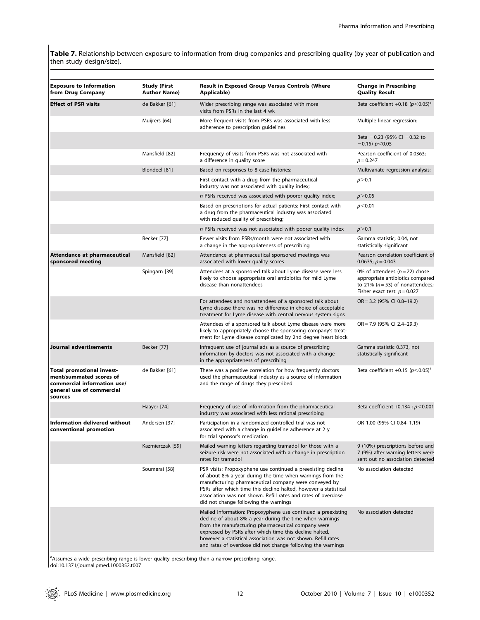Table 7. Relationship between exposure to information from drug companies and prescribing quality (by year of publication and then study design/size).

| <b>Exposure to Information</b><br>from Drug Company                                                                         | <b>Study (First</b><br><b>Author Name)</b> | Result in Exposed Group Versus Controls (Where<br>Applicable)                                                                                                                                                                                                                                                                                                             | <b>Change in Prescribing</b><br><b>Quality Result</b>                                                                                        |
|-----------------------------------------------------------------------------------------------------------------------------|--------------------------------------------|---------------------------------------------------------------------------------------------------------------------------------------------------------------------------------------------------------------------------------------------------------------------------------------------------------------------------------------------------------------------------|----------------------------------------------------------------------------------------------------------------------------------------------|
| <b>Effect of PSR visits</b>                                                                                                 | de Bakker [61]                             | Wider prescribing range was associated with more                                                                                                                                                                                                                                                                                                                          | Beta coefficient +0.18 ( $p$ <0.05) <sup>a</sup>                                                                                             |
|                                                                                                                             | Muijrers [64]                              | visits from PSRs in the last 4 wk<br>More frequent visits from PSRs was associated with less<br>adherence to prescription guidelines                                                                                                                                                                                                                                      | Multiple linear regression:                                                                                                                  |
|                                                                                                                             |                                            |                                                                                                                                                                                                                                                                                                                                                                           | Beta $-0.23$ (95% CI $-0.32$ to<br>$-0.15$ ) $p<0.05$                                                                                        |
|                                                                                                                             | Mansfield [82]                             | Frequency of visits from PSRs was not associated with<br>a difference in quality score                                                                                                                                                                                                                                                                                    | Pearson coefficient of 0.0363;<br>$p = 0.247$                                                                                                |
|                                                                                                                             | Blondeel [81]                              | Based on responses to 8 case histories:                                                                                                                                                                                                                                                                                                                                   | Multivariate regression analysis:                                                                                                            |
|                                                                                                                             |                                            | First contact with a drug from the pharmaceutical<br>industry was not associated with quality index;                                                                                                                                                                                                                                                                      | p > 0.1                                                                                                                                      |
|                                                                                                                             |                                            | n PSRs received was associated with poorer quality index;                                                                                                                                                                                                                                                                                                                 | p > 0.05                                                                                                                                     |
|                                                                                                                             |                                            | Based on prescriptions for actual patients: First contact with<br>a drug from the pharmaceutical industry was associated<br>with reduced quality of prescribing;                                                                                                                                                                                                          | $p<$ 0.01                                                                                                                                    |
|                                                                                                                             |                                            | n PSRs received was not associated with poorer quality index                                                                                                                                                                                                                                                                                                              | p > 0.1                                                                                                                                      |
|                                                                                                                             | Becker [77]                                | Fewer visits from PSRs/month were not associated with<br>a change in the appropriateness of prescribing                                                                                                                                                                                                                                                                   | Gamma statistic; 0.04, not<br>statistically significant                                                                                      |
| Attendance at pharmaceutical<br>sponsored meeting                                                                           | Mansfield [82]                             | Attendance at pharmaceutical sponsored meetings was<br>associated with lower quality scores                                                                                                                                                                                                                                                                               | Pearson correlation coefficient of<br>0.0635; $p = 0.043$                                                                                    |
|                                                                                                                             | Spingarn [39]                              | Attendees at a sponsored talk about Lyme disease were less<br>likely to choose appropriate oral antibiotics for mild Lyme<br>disease than nonattendees                                                                                                                                                                                                                    | 0% of attendees $(n=22)$ chose<br>appropriate antibiotics compared<br>to 21% ( $n = 53$ ) of nonattendees;<br>Fisher exact test: $p = 0.027$ |
|                                                                                                                             |                                            | For attendees and nonattendees of a sponsored talk about<br>Lyme disease there was no difference in choice of acceptable<br>treatment for Lyme disease with central nervous system signs                                                                                                                                                                                  | $OR = 3.2$ (95% CI 0.8-19.2)                                                                                                                 |
|                                                                                                                             |                                            | Attendees of a sponsored talk about Lyme disease were more<br>likely to appropriately choose the sponsoring company's treat-<br>ment for Lyme disease complicated by 2nd degree heart block                                                                                                                                                                               | $OR = 7.9$ (95% CI 2.4-29.3)                                                                                                                 |
| Journal advertisements                                                                                                      | Becker [77]                                | Infrequent use of journal ads as a source of prescribing<br>information by doctors was not associated with a change<br>in the appropriateness of prescribing                                                                                                                                                                                                              | Gamma statistic 0.373, not<br>statistically significant                                                                                      |
| Total promotional invest-<br>ment/summated scores of<br>commercial information use/<br>general use of commercial<br>sources | de Bakker [61]                             | There was a positive correlation for how frequently doctors<br>used the pharmaceutical industry as a source of information<br>and the range of drugs they prescribed                                                                                                                                                                                                      | Beta coefficient +0.15 ( $p$ <0.05) <sup>a</sup>                                                                                             |
|                                                                                                                             | Haayer [74]                                | Frequency of use of information from the pharmaceutical<br>industry was associated with less rational prescribing                                                                                                                                                                                                                                                         | Beta coefficient $+0.134$ ; $p<0.001$                                                                                                        |
| Information delivered without<br>conventional promotion                                                                     | Andersen [37]                              | Participation in a randomized controlled trial was not<br>associated with a change in guideline adherence at 2 y<br>for trial sponsor's medication                                                                                                                                                                                                                        | OR 1.00 (95% CI 0.84-1.19)                                                                                                                   |
|                                                                                                                             | Kazmierczak [59]                           | Mailed warning letters regarding tramadol for those with a<br>seizure risk were not associated with a change in prescription<br>rates for tramadol                                                                                                                                                                                                                        | 9 (10%) prescriptions before and<br>7 (9%) after warning letters were<br>sent out no association detected                                    |
|                                                                                                                             | Soumerai [58]                              | PSR visits: Propoxyphene use continued a preexisting decline<br>of about 8% a year during the time when warnings from the<br>manufacturing pharmaceutical company were conveyed by<br>PSRs after which time this decline halted, however a statistical<br>association was not shown. Refill rates and rates of overdose<br>did not change following the warnings          | No association detected                                                                                                                      |
|                                                                                                                             |                                            | Mailed Information: Propoxyphene use continued a preexisting<br>decline of about 8% a year during the time when warnings<br>from the manufacturing pharmaceutical company were<br>expressed by PSRs after which time this decline halted,<br>however a statistical association was not shown. Refill rates<br>and rates of overdose did not change following the warnings | No association detected                                                                                                                      |

<sup>a</sup>Assumes a wide prescribing range is lower quality prescribing than a narrow prescribing range.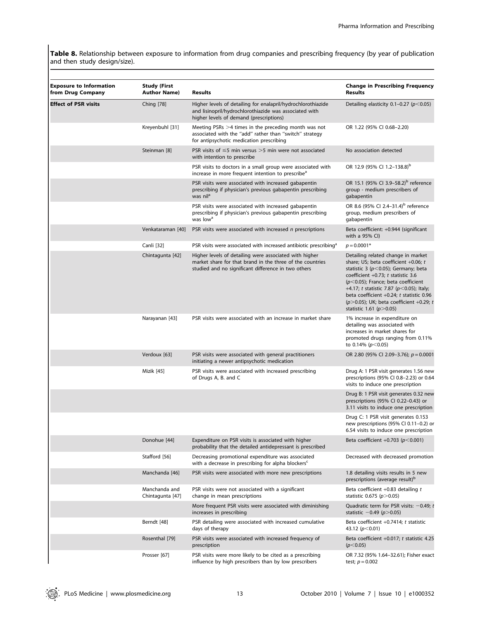Table 8. Relationship between exposure to information from drug companies and prescribing frequency (by year of publication and then study design/size).

| <b>Exposure to Information</b><br>from Drug Company | <b>Study (First</b><br><b>Author Name)</b> | <b>Results</b>                                                                                                                                                             | <b>Change in Prescribing Frequency</b><br><b>Results</b>                                                                                                                                                                                                                                                                                                                           |
|-----------------------------------------------------|--------------------------------------------|----------------------------------------------------------------------------------------------------------------------------------------------------------------------------|------------------------------------------------------------------------------------------------------------------------------------------------------------------------------------------------------------------------------------------------------------------------------------------------------------------------------------------------------------------------------------|
| <b>Effect of PSR visits</b>                         | <b>Ching [78]</b>                          | Higher levels of detailing for enalapril/hydrochlorothiazide<br>and lisinopril/hydrochlorothiazide was associated with<br>higher levels of demand (prescriptions)          | Detailing elasticity 0.1-0.27 ( $p$ <0.05)                                                                                                                                                                                                                                                                                                                                         |
|                                                     | Kreyenbuhl [31]                            | Meeting $PSRs > 4$ times in the preceding month was not<br>associated with the "add" rather than "switch" strategy<br>for antipsychotic medication prescribing             | OR 1.22 (95% CI 0.68-2.20)                                                                                                                                                                                                                                                                                                                                                         |
|                                                     | Steinman [8]                               | PSR visits of $\leq$ 5 min versus $>$ 5 min were not associated<br>with intention to prescribe                                                                             | No association detected                                                                                                                                                                                                                                                                                                                                                            |
|                                                     |                                            | PSR visits to doctors in a small group were associated with<br>increase in more frequent intention to prescribe <sup>a</sup>                                               | OR 12.9 (95% CI 1.2-138.8) <sup>b</sup>                                                                                                                                                                                                                                                                                                                                            |
|                                                     |                                            | PSR visits were associated with increased gabapentin<br>prescribing if physician's previous gabapentin prescribing<br>was nil <sup>a</sup>                                 | OR 15.1 (95% CI 3.9-58.2) <sup>b</sup> reference<br>group - medium prescribers of<br>gabapentin                                                                                                                                                                                                                                                                                    |
|                                                     |                                            | PSR visits were associated with increased gabapentin<br>prescribing if physician's previous gabapentin prescribing<br>was low <sup>a</sup>                                 | OR 8.6 (95% CI 2.4-31.4) <sup>b</sup> reference<br>group, medium prescribers of<br>gabapentin                                                                                                                                                                                                                                                                                      |
|                                                     | Venkataraman [40]                          | PSR visits were associated with increased $n$ prescriptions                                                                                                                | Beta coefficient: +0.944 (significant<br>with a 95% CI)                                                                                                                                                                                                                                                                                                                            |
|                                                     | Canli [32]                                 | PSR visits were associated with increased antibiotic prescribing <sup>a</sup>                                                                                              | $p = 0.0001*$                                                                                                                                                                                                                                                                                                                                                                      |
|                                                     | Chintagunta [42]                           | Higher levels of detailing were associated with higher<br>market share for that brand in the three of the countries<br>studied and no significant difference in two others | Detailing related change in market<br>share; US; beta coefficient +0.06; t<br>statistic 3 ( $p$ <0.05); Germany; beta<br>coefficient $+0.73$ ; t statistic 3.6<br>$(p<0.05)$ ; France; beta coefficient<br>+4.17; t statistic 7.87 ( $p$ <0.05); Italy;<br>beta coefficient +0.24; t statistic 0.96<br>$(p>0.05)$ ; UK; beta coefficient +0.29; t<br>statistic 1.61 ( $p > 0.05$ ) |
|                                                     | Narayanan [43]                             | PSR visits were associated with an increase in market share                                                                                                                | 1% increase in expenditure on<br>detailing was associated with<br>increases in market shares for<br>promoted drugs ranging from 0.11%<br>to 0.14% ( $p$ <0.05)                                                                                                                                                                                                                     |
|                                                     | Verdoux [63]                               | PSR visits were associated with general practitioners<br>initiating a newer antipsychotic medication                                                                       | OR 2.80 (95% CI 2.09-3.76); $p = 0.0001$                                                                                                                                                                                                                                                                                                                                           |
|                                                     | Mizik [45]                                 | PSR visits were associated with increased prescribing<br>of Drugs A, B. and C                                                                                              | Drug A: 1 PSR visit generates 1.56 new<br>prescriptions (95% CI 0.8-2.23) or 0.64<br>visits to induce one prescription                                                                                                                                                                                                                                                             |
|                                                     |                                            |                                                                                                                                                                            | Drug B: 1 PSR visit generates 0.32 new<br>prescriptions (95% CI 0.22-0.43) or<br>3.11 visits to induce one prescription                                                                                                                                                                                                                                                            |
|                                                     |                                            |                                                                                                                                                                            | Drug C: 1 PSR visit generates 0.153<br>new prescriptions (95% CI 0.11-0.2) or<br>6.54 visits to induce one prescription                                                                                                                                                                                                                                                            |
|                                                     | Donohue [44]                               | Expenditure on PSR visits is associated with higher<br>probability that the detailed antidepressant is prescribed                                                          | Beta coefficient +0.703 ( $p$ <0.001)                                                                                                                                                                                                                                                                                                                                              |
|                                                     | Stafford [56]                              | Decreasing promotional expenditure was associated<br>with a decrease in prescribing for alpha blockers <sup>c</sup>                                                        | Decreased with decreased promotion                                                                                                                                                                                                                                                                                                                                                 |
|                                                     | Manchanda [46]                             | PSR visits were associated with more new prescriptions                                                                                                                     | 1.8 detailing visits results in 5 new<br>prescriptions (average result) <sup>b</sup>                                                                                                                                                                                                                                                                                               |
|                                                     | Manchanda and<br>Chintagunta [47]          | PSR visits were not associated with a significant<br>change in mean prescriptions                                                                                          | Beta coefficient $+0.83$ detailing t<br>statistic 0.675 ( $p > 0.05$ )                                                                                                                                                                                                                                                                                                             |
|                                                     |                                            | More frequent PSR visits were associated with diminishing<br>increases in prescribing                                                                                      | Quadratic term for PSR visits: $-0.49$ ; t<br>statistic $-0.49$ ( $p > 0.05$ )                                                                                                                                                                                                                                                                                                     |
|                                                     | Berndt [48]                                | PSR detailing were associated with increased cumulative<br>days of therapy                                                                                                 | Beta coefficient $+0.7414$ ; t statistic<br>43.12 ( $p<0.01$ )                                                                                                                                                                                                                                                                                                                     |
|                                                     | Rosenthal [79]                             | PSR visits were associated with increased frequency of<br>prescription                                                                                                     | Beta coefficient +0.017; t statistic 4.25<br>(p<0.05)                                                                                                                                                                                                                                                                                                                              |
|                                                     | Prosser [67]                               | PSR visits were more likely to be cited as a prescribing<br>influence by high prescribers than by low prescribers                                                          | OR 7.32 (95% 1.64-32.61); Fisher exact<br>test; $p = 0.002$                                                                                                                                                                                                                                                                                                                        |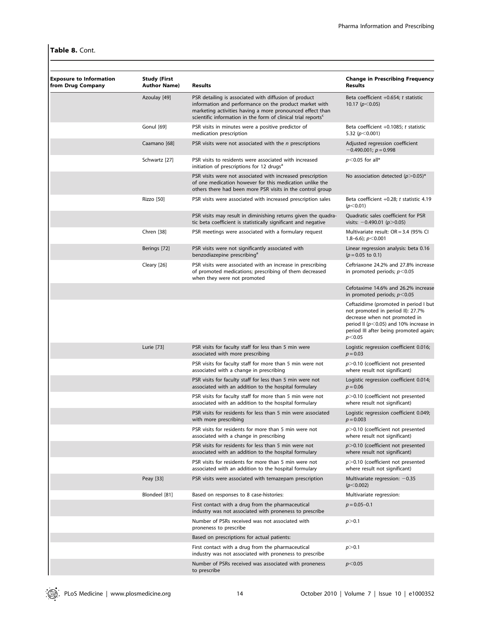Table 8. Cont.

| <b>Exposure to Information</b><br>from Drug Company | <b>Study (First</b><br><b>Author Name)</b> | <b>Results</b>                                                                                                                                                                                                                                            | <b>Change in Prescribing Frequency</b><br><b>Results</b>                                                                                                                                                         |
|-----------------------------------------------------|--------------------------------------------|-----------------------------------------------------------------------------------------------------------------------------------------------------------------------------------------------------------------------------------------------------------|------------------------------------------------------------------------------------------------------------------------------------------------------------------------------------------------------------------|
|                                                     | Azoulay [49]                               | PSR detailing is associated with diffusion of product<br>information and performance on the product market with<br>marketing activities having a more pronounced effect than<br>scientific information in the form of clinical trial reports <sup>c</sup> | Beta coefficient +0.654; t statistic<br>10.17 ( $p$ < 0.05)                                                                                                                                                      |
|                                                     | Gonul [69]                                 | PSR visits in minutes were a positive predictor of<br>medication prescription                                                                                                                                                                             | Beta coefficient +0.1085; t statistic<br>5.32 ( $p$ < 0.001)                                                                                                                                                     |
|                                                     | Caamano [68]                               | PSR visits were not associated with the $n$ prescriptions                                                                                                                                                                                                 | Adjusted regression coefficient<br>$-0.490.001; p = 0.998$                                                                                                                                                       |
|                                                     | Schwartz [27]                              | PSR visits to residents were associated with increased<br>initiation of prescriptions for 12 drugs <sup>a</sup>                                                                                                                                           | $p<0.05$ for all*                                                                                                                                                                                                |
|                                                     |                                            | PSR visits were not associated with increased prescription<br>of one medication however for this medication unlike the<br>others there had been more PSR visits in the control group                                                                      | No association detected $(p>0.05)^*$                                                                                                                                                                             |
|                                                     | <b>Rizzo</b> [50]                          | PSR visits were associated with increased prescription sales                                                                                                                                                                                              | Beta coefficient +0.28; t statistic 4.19<br>(p<0.01)                                                                                                                                                             |
|                                                     |                                            | PSR visits may result in diminishing returns given the quadra-<br>tic beta coefficient is statistically significant and negative                                                                                                                          | Quadratic sales coefficient for PSR<br>visits: $-0.490.01$ ( $p > 0.05$ )                                                                                                                                        |
|                                                     | Chren [38]                                 | PSR meetings were associated with a formulary request                                                                                                                                                                                                     | Multivariate result: $OR = 3.4$ (95% CI<br>1.8–6.6); $p$ <0.001                                                                                                                                                  |
|                                                     | Berings [72]                               | PSR visits were not significantly associated with<br>benzodiazepine prescribing <sup>a</sup>                                                                                                                                                              | Linear regression analysis: beta 0.16<br>$(p = 0.05$ to 0.1)                                                                                                                                                     |
|                                                     | Cleary [26]                                | PSR visits were associated with an increase in prescribing<br>of promoted medications; prescribing of them decreased<br>when they were not promoted                                                                                                       | Ceftriaxone 24.2% and 27.8% increase<br>in promoted periods; $p<0.05$                                                                                                                                            |
|                                                     |                                            |                                                                                                                                                                                                                                                           | Cefotaxime 14.6% and 26.2% increase<br>in promoted periods; $p<0.05$                                                                                                                                             |
|                                                     |                                            |                                                                                                                                                                                                                                                           | Ceftazidime (promoted in period I but<br>not promoted in period II): 27.7%<br>decrease when not promoted in<br>period II ( $p$ <0.05) and 10% increase in<br>period III after being promoted again;<br>$p<$ 0.05 |
|                                                     | Lurie [73]                                 | PSR visits for faculty staff for less than 5 min were<br>associated with more prescribing                                                                                                                                                                 | Logistic regression coefficient 0.016;<br>$p = 0.03$                                                                                                                                                             |
|                                                     |                                            | PSR visits for faculty staff for more than 5 min were not<br>associated with a change in prescribing                                                                                                                                                      | $p > 0.10$ (coefficient not presented<br>where result not significant)                                                                                                                                           |
|                                                     |                                            | PSR visits for faculty staff for less than 5 min were not<br>associated with an addition to the hospital formulary                                                                                                                                        | Logistic regression coefficient 0.014;<br>$p = 0.06$                                                                                                                                                             |
|                                                     |                                            | PSR visits for faculty staff for more than 5 min were not<br>associated with an addition to the hospital formulary                                                                                                                                        | $p > 0.10$ (coefficient not presented<br>where result not significant)                                                                                                                                           |
|                                                     |                                            | PSR visits for residents for less than 5 min were associated<br>with more prescribing                                                                                                                                                                     | Logistic regression coefficient 0.049;<br>$p = 0.003$                                                                                                                                                            |
|                                                     |                                            | PSR visits for residents for more than 5 min were not<br>associated with a change in prescribing                                                                                                                                                          | $p > 0.10$ (coefficient not presented<br>where result not significant)                                                                                                                                           |
|                                                     |                                            | PSR visits for residents for less than 5 min were not<br>associated with an addition to the hospital formulary                                                                                                                                            | $p > 0.10$ (coefficient not presented<br>where result not significant)                                                                                                                                           |
|                                                     |                                            | PSR visits for residents for more than 5 min were not<br>associated with an addition to the hospital formulary                                                                                                                                            | $p > 0.10$ (coefficient not presented<br>where result not significant)                                                                                                                                           |
|                                                     | Peay [33]                                  | PSR visits were associated with temazepam prescription                                                                                                                                                                                                    | Multivariate regression: -0.35<br>(p<0.002)                                                                                                                                                                      |
|                                                     | Blondeel [81]                              | Based on responses to 8 case-histories:                                                                                                                                                                                                                   | Multivariate regression:                                                                                                                                                                                         |
|                                                     |                                            | First contact with a drug from the pharmaceutical<br>industry was not associated with proneness to prescribe                                                                                                                                              | $p = 0.05 - 0.1$                                                                                                                                                                                                 |
|                                                     |                                            | Number of PSRs received was not associated with<br>proneness to prescribe                                                                                                                                                                                 | p > 0.1                                                                                                                                                                                                          |
|                                                     |                                            | Based on prescriptions for actual patients:                                                                                                                                                                                                               |                                                                                                                                                                                                                  |
|                                                     |                                            | First contact with a drug from the pharmaceutical<br>industry was not associated with proneness to prescribe                                                                                                                                              | p > 0.1                                                                                                                                                                                                          |
|                                                     |                                            | Number of PSRs received was associated with proneness<br>to prescribe                                                                                                                                                                                     | $p<$ 0.05                                                                                                                                                                                                        |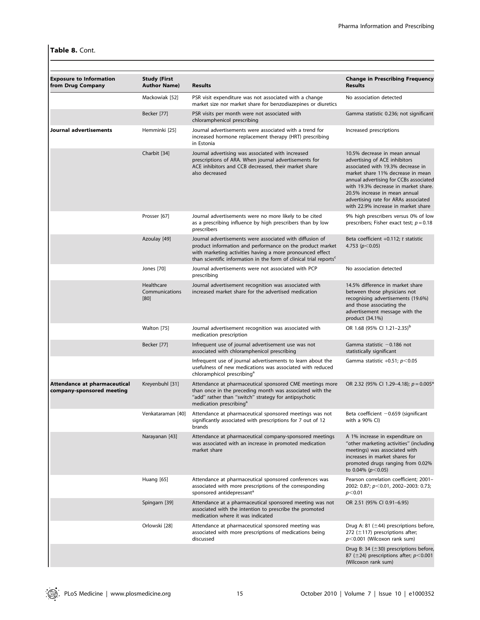| <b>Exposure to Information</b><br>from Drug Company       | <b>Study (First</b><br><b>Author Name)</b> | <b>Results</b>                                                                                                                                                                                                                                                       | <b>Change in Prescribing Frequency</b><br><b>Results</b>                                                                                                                                                                                                                                                                                   |
|-----------------------------------------------------------|--------------------------------------------|----------------------------------------------------------------------------------------------------------------------------------------------------------------------------------------------------------------------------------------------------------------------|--------------------------------------------------------------------------------------------------------------------------------------------------------------------------------------------------------------------------------------------------------------------------------------------------------------------------------------------|
|                                                           | Mackowiak [52]                             | PSR visit expenditure was not associated with a change<br>market size nor market share for benzodiazepines or diuretics                                                                                                                                              | No association detected                                                                                                                                                                                                                                                                                                                    |
|                                                           | Becker [77]                                | PSR visits per month were not associated with<br>chloramphenicol prescribing                                                                                                                                                                                         | Gamma statistic 0.236; not significant                                                                                                                                                                                                                                                                                                     |
| Journal advertisements                                    | Hemminki [25]                              | Journal advertisements were associated with a trend for<br>increased hormone replacement therapy (HRT) prescribing<br>in Estonia                                                                                                                                     | Increased prescriptions                                                                                                                                                                                                                                                                                                                    |
|                                                           | Charbit [34]                               | Journal advertising was associated with increased<br>prescriptions of ARA. When journal advertisements for<br>ACE inhibitors and CCB decreased, their market share<br>also decreased                                                                                 | 10.5% decrease in mean annual<br>advertising of ACE inhibitors<br>associated with 19.3% decrease in<br>market share 11% decrease in mean<br>annual advertising for CCBs associated<br>with 19.3% decrease in market share.<br>20.5% increase in mean annual<br>advertising rate for ARAs associated<br>with 22.9% increase in market share |
|                                                           | Prosser [67]                               | Journal advertisements were no more likely to be cited<br>as a prescribing influence by high prescribers than by low<br>prescribers                                                                                                                                  | 9% high prescribers versus 0% of low<br>prescribers; Fisher exact test; $p = 0.18$                                                                                                                                                                                                                                                         |
|                                                           | Azoulay [49]                               | Journal advertisements were associated with diffusion of<br>product information and performance on the product market<br>with marketing activities having a more pronounced effect<br>than scientific information in the form of clinical trial reports <sup>c</sup> | Beta coefficient $+0.112$ ; t statistic<br>4.753 ( $p$ < 0.05)                                                                                                                                                                                                                                                                             |
|                                                           | Jones [70]                                 | Journal advertisements were not associated with PCP<br>prescribing                                                                                                                                                                                                   | No association detected                                                                                                                                                                                                                                                                                                                    |
|                                                           | Healthcare<br>Communications<br>[80]       | Journal advertisement recognition was associated with<br>increased market share for the advertised medication                                                                                                                                                        | 14.5% difference in market share<br>between those physicians not<br>recognising advertisements (19.6%)<br>and those associating the<br>advertisement message with the<br>product (34.1%)                                                                                                                                                   |
|                                                           | Walton [75]                                | Journal advertisement recognition was associated with<br>medication prescription                                                                                                                                                                                     | OR 1.68 (95% CI 1.21-2.35) <sup>D</sup>                                                                                                                                                                                                                                                                                                    |
|                                                           | Becker [77]                                | Infrequent use of journal advertisement use was not<br>associated with chloramphenicol prescribing                                                                                                                                                                   | Gamma statistic $-0.186$ not<br>statistically significant                                                                                                                                                                                                                                                                                  |
|                                                           |                                            | Infrequent use of journal advertisements to learn about the<br>usefulness of new medications was associated with reduced<br>chloramphicol prescribing <sup>a</sup>                                                                                                   | Gamma statistic +0.51; $p$ < 0.05                                                                                                                                                                                                                                                                                                          |
| Attendance at pharmaceutical<br>company-sponsored meeting | Kreyenbuhl [31]                            | Attendance at pharmaceutical sponsored CME meetings more<br>than once in the preceding month was associated with the<br>"add" rather than "switch" strategy for antipsychotic<br>medication prescribing <sup>a</sup>                                                 | OR 2.32 (95% CI 1.29-4.18); $p = 0.005*$                                                                                                                                                                                                                                                                                                   |
|                                                           | Venkataraman [40]                          | Attendance at pharmaceutical sponsored meetings was not<br>significantly associated with prescriptions for 7 out of 12<br>brands                                                                                                                                     | Beta coefficient $-0.659$ (significant<br>with a 90% CI)                                                                                                                                                                                                                                                                                   |
|                                                           | Narayanan [43]                             | Attendance at pharmaceutical company-sponsored meetings<br>was associated with an increase in promoted medication<br>market share                                                                                                                                    | A 1% increase in expenditure on<br>"other marketing activities" (including<br>meetings) was associated with<br>increases in market shares for<br>promoted drugs ranging from 0.02%<br>to 0.04% ( $p$ <0.05)                                                                                                                                |
|                                                           | Huang [65]                                 | Attendance at pharmaceutical sponsored conferences was<br>associated with more prescriptions of the corresponding<br>sponsored antidepressant <sup>a</sup>                                                                                                           | Pearson correlation coefficient; 2001-<br>2002: 0.87; p<0.01, 2002-2003: 0.73;<br>$p<$ 0.01                                                                                                                                                                                                                                                |
|                                                           | Spingarn [39]                              | Attendance at a pharmaceutical sponsored meeting was not<br>associated with the intention to prescribe the promoted<br>medication where it was indicated                                                                                                             | OR 2.51 (95% CI 0.91-6.95)                                                                                                                                                                                                                                                                                                                 |
|                                                           | Orlowski [28]                              | Attendance at pharmaceutical sponsored meeting was<br>associated with more prescriptions of medications being<br>discussed                                                                                                                                           | Drug A: 81 ( $\pm$ 44) prescriptions before,<br>272 ( $\pm$ 117) prescriptions after;<br>$p$ <0.001 (Wilcoxon rank sum)                                                                                                                                                                                                                    |
|                                                           |                                            |                                                                                                                                                                                                                                                                      | Drug B: 34 ( $\pm$ 30) prescriptions before,<br>87 ( $\pm$ 24) prescriptions after; $p$ <0.001<br>(Wilcoxon rank sum)                                                                                                                                                                                                                      |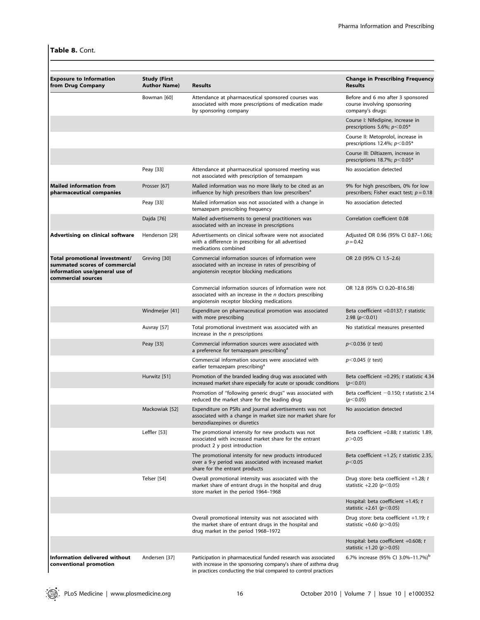# Table 8. Cont.

| <b>Exposure to Information</b><br>from Drug Company                                                                    | <b>Study (First</b><br><b>Author Name)</b> | <b>Results</b>                                                                                                                                                                                      | <b>Change in Prescribing Frequency</b><br><b>Results</b>                             |
|------------------------------------------------------------------------------------------------------------------------|--------------------------------------------|-----------------------------------------------------------------------------------------------------------------------------------------------------------------------------------------------------|--------------------------------------------------------------------------------------|
|                                                                                                                        | Bowman [60]                                | Attendance at pharmaceutical sponsored courses was<br>associated with more prescriptions of medication made<br>by sponsoring company                                                                | Before and 6 mo after 3 sponsored<br>course involving sponsoring<br>company's drugs: |
|                                                                                                                        |                                            |                                                                                                                                                                                                     | Course I: Nifedipine, increase in<br>prescriptions 5.6%; $p$ <0.05*                  |
|                                                                                                                        |                                            |                                                                                                                                                                                                     | Course II: Metoprolol, increase in<br>prescriptions 12.4%; $p$ <0.05*                |
|                                                                                                                        |                                            |                                                                                                                                                                                                     | Course III: Diltiazem, increase in<br>prescriptions 18.7%; $p$ <0.05*                |
|                                                                                                                        | Peay [33]                                  | Attendance at pharmaceutical sponsored meeting was<br>not associated with prescription of temazepam                                                                                                 | No association detected                                                              |
| <b>Mailed information from</b><br>pharmaceutical companies                                                             | Prosser [67]                               | Mailed information was no more likely to be cited as an<br>influence by high prescribers than low prescribers <sup>a</sup>                                                                          | 9% for high prescribers, 0% for low<br>prescribers; Fisher exact test; $p = 0.18$    |
|                                                                                                                        | Peay [33]                                  | Mailed information was not associated with a change in<br>temazepam prescribing frequency                                                                                                           | No association detected                                                              |
|                                                                                                                        | Dajda [76]                                 | Mailed advertisements to general practitioners was<br>associated with an increase in prescriptions                                                                                                  | Correlation coefficient 0.08                                                         |
| <b>Advertising on clinical software</b>                                                                                | Henderson [29]                             | Advertisements on clinical software were not associated<br>with a difference in prescribing for all advertised<br>medications combined                                                              | Adjusted OR 0.96 (95% CI 0.87-1.06);<br>$p = 0.42$                                   |
| Total promotional investment/<br>summated scores of commercial<br>information use/general use of<br>commercial sources | Greving [30]                               | Commercial information sources of information were<br>associated with an increase in rates of prescribing of<br>angiotensin receptor blocking medications                                           | OR 2.0 (95% CI 1.5-2.6)                                                              |
|                                                                                                                        |                                            | Commercial information sources of information were not<br>associated with an increase in the <i>n</i> doctors prescribing<br>angiotensin receptor blocking medications                              | OR 12.8 (95% CI 0.20-816.58)                                                         |
|                                                                                                                        | Windmeijer [41]                            | Expenditure on pharmaceutical promotion was associated<br>with more prescribing                                                                                                                     | Beta coefficient +0.0137; t statistic<br>2.98 ( $p$ < 0.01)                          |
|                                                                                                                        | Auvray [57]                                | Total promotional investment was associated with an<br>increase in the $n$ prescriptions                                                                                                            | No statistical measures presented                                                    |
|                                                                                                                        | Peay [33]                                  | Commercial information sources were associated with<br>a preference for temazepam prescribing <sup>a</sup>                                                                                          | $p$ <0.036 (t test)                                                                  |
|                                                                                                                        |                                            | Commercial information sources were associated with<br>earlier temazepam prescribing <sup>a</sup>                                                                                                   | $p$ <0.045 (t test)                                                                  |
|                                                                                                                        | Hurwitz [51]                               | Promotion of the branded leading drug was associated with<br>increased market share especially for acute or sporadic conditions                                                                     | Beta coefficient +0.295; t statistic 4.34<br>(p<0.01)                                |
|                                                                                                                        |                                            | Promotion of "following generic drugs" was associated with<br>reduced the market share for the leading drug                                                                                         | Beta coefficient $-0.150$ ; t statistic 2.14<br>(p<0.05)                             |
|                                                                                                                        | Mackowiak [52]                             | Expenditure on PSRs and journal advertisements was not<br>associated with a change in market size nor market share for<br>benzodiazepines or diuretics                                              | No association detected                                                              |
|                                                                                                                        | Leffler [53]                               | The promotional intensity for new products was not<br>associated with increased market share for the entrant<br>product 2 y post introduction                                                       | Beta coefficient +0.88; t statistic 1.89,<br>p > 0.05                                |
|                                                                                                                        |                                            | The promotional intensity for new products introduced<br>over a 9-y period was associated with increased market<br>share for the entrant products                                                   | Beta coefficient $+1.25$ ; t statistic 2.35,<br>$p<$ 0.05                            |
|                                                                                                                        | Telser [54]                                | Overall promotional intensity was associated with the<br>market share of entrant drugs in the hospital and drug<br>store market in the period 1964-1968                                             | Drug store: beta coefficient +1.28; t<br>statistic +2.20 ( $p$ < 0.05)               |
|                                                                                                                        |                                            |                                                                                                                                                                                                     | Hospital: beta coefficient $+1.45$ ; t<br>statistic +2.61 ( $p$ <0.05)               |
|                                                                                                                        |                                            | Overall promotional intensity was not associated with<br>the market share of entrant drugs in the hospital and<br>drug market in the period 1968-1972                                               | Drug store: beta coefficient +1.19; t<br>statistic +0.60 ( $p$ > 0.05)               |
|                                                                                                                        |                                            |                                                                                                                                                                                                     | Hospital: beta coefficient +0.608; t<br>statistic +1.20 ( $p$ > 0.05)                |
| Information delivered without<br>conventional promotion                                                                | Andersen [37]                              | Participation in pharmaceutical funded research was associated<br>with increase in the sponsoring company's share of asthma drug<br>in practices conducting the trial compared to control practices | 6.7% increase (95% CI 3.0%-11.7%) <sup>p</sup>                                       |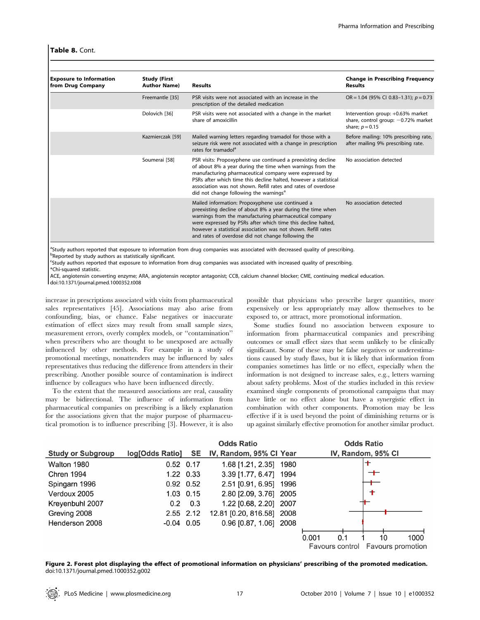Table 8. Cont.

| <b>Exposure to Information</b><br>from Drug Company | <b>Study (First</b><br><b>Author Name)</b> | <b>Results</b>                                                                                                                                                                                                                                                                                                                                                                 | <b>Change in Prescribing Frequency</b><br><b>Results</b>                                       |
|-----------------------------------------------------|--------------------------------------------|--------------------------------------------------------------------------------------------------------------------------------------------------------------------------------------------------------------------------------------------------------------------------------------------------------------------------------------------------------------------------------|------------------------------------------------------------------------------------------------|
|                                                     | Freemantle [35]                            | PSR visits were not associated with an increase in the<br>prescription of the detailed medication                                                                                                                                                                                                                                                                              | OR = 1.04 (95% CI 0.83-1.31); $p = 0.73$                                                       |
|                                                     | Dolovich [36]                              | PSR visits were not associated with a change in the market<br>share of amoxicillin                                                                                                                                                                                                                                                                                             | Intervention group: +0.63% market<br>share, control group: - 0.72% market<br>share; $p = 0.15$ |
|                                                     | Kazmierczak [59]                           | Mailed warning letters regarding tramadol for those with a<br>seizure risk were not associated with a change in prescription<br>rates for tramadol <sup>a</sup>                                                                                                                                                                                                                | Before mailing: 10% prescribing rate,<br>after mailing 9% prescribing rate.                    |
|                                                     | Soumerai [58]                              | PSR visits: Propoxyphene use continued a preexisting decline<br>of about 8% a year during the time when warnings from the<br>manufacturing pharmaceutical company were expressed by<br>PSRs after which time this decline halted, however a statistical<br>association was not shown. Refill rates and rates of overdose<br>did not change following the warnings <sup>a</sup> | No association detected                                                                        |
|                                                     |                                            | Mailed information: Propoxyphene use continued a<br>preexisting decline of about 8% a year during the time when<br>warnings from the manufacturing pharmaceutical company<br>were expressed by PSRs after which time this decline halted,<br>however a statistical association was not shown. Refill rates<br>and rates of overdose did not change following the               | No association detected                                                                        |

<sup>a</sup>Study authors reported that exposure to information from drug companies was associated with decreased quality of prescribing. <sup>b</sup>Reported by study authors as statistically significant.

c Study authors reported that exposure to information from drug companies was associated with increased quality of prescribing. \*Chi-squared statistic.

ACE, angiotensin converting enzyme; ARA, angiotensin receptor antagonist; CCB, calcium channel blocker; CME, continuing medical education. doi:10.1371/journal.pmed.1000352.t008

increase in prescriptions associated with visits from pharmaceutical sales representatives [45]. Associations may also arise from confounding, bias, or chance. False negatives or inaccurate estimation of effect sizes may result from small sample sizes, measurement errors, overly complex models, or ''contamination'' when prescribers who are thought to be unexposed are actually influenced by other methods. For example in a study of promotional meetings, nonattenders may be influenced by sales representatives thus reducing the difference from attenders in their prescribing. Another possible source of contamination is indirect influence by colleagues who have been influenced directly.

To the extent that the measured associations are real, causality may be bidirectional. The influence of information from pharmaceutical companies on prescribing is a likely explanation for the associations given that the major purpose of pharmaceutical promotion is to influence prescribing [3]. However, it is also possible that physicians who prescribe larger quantities, more expensively or less appropriately may allow themselves to be exposed to, or attract, more promotional information.

Some studies found no association between exposure to information from pharmaceutical companies and prescribing outcomes or small effect sizes that seem unlikely to be clinically significant. Some of these may be false negatives or underestimations caused by study flaws, but it is likely that information from companies sometimes has little or no effect, especially when the information is not designed to increase sales, e.g., letters warning about safety problems. Most of the studies included in this review examined single components of promotional campaigns that may have little or no effect alone but have a synergistic effect in combination with other components. Promotion may be less effective if it is used beyond the point of diminishing returns or is up against similarly effective promotion for another similar product.

|                          |              |                   | <b>Odds Ratio</b>                          |                                   | <b>Odds Ratio</b>  |      |
|--------------------------|--------------|-------------------|--------------------------------------------|-----------------------------------|--------------------|------|
| <b>Study or Subgroup</b> |              |                   | log[Odds Ratio] SE IV, Random, 95% CI Year |                                   | IV, Random, 95% CI |      |
| Walton 1980              | $0.52$ 0.17  |                   | 1.68 [1.21, 2.35] 1980                     |                                   | ÷                  |      |
| Chren 1994               |              | 1.22 0.33         | 3.39 [1.77, 6.47] 1994                     |                                   | ᆠ                  |      |
| Spingarn 1996            |              | $0.92 \quad 0.52$ | 2.51 [0.91, 6.95] 1996                     |                                   |                    |      |
| Verdoux 2005             |              | 1.03 0.15         | 2.80 [2.09, 3.76] 2005                     |                                   | ÷                  |      |
| Kreyenbuhl 2007          |              | $0.2 \quad 0.3$   | 1.22 [0.68, 2.20] 2007                     |                                   |                    |      |
| Greving 2008             |              | 2.55 2.12         | 12.81 [0.20, 816.58] 2008                  |                                   |                    |      |
| Henderson 2008           | $-0.04$ 0.05 |                   | 0.96 [0.87, 1.06] 2008                     |                                   |                    |      |
|                          |              |                   |                                            | 0.001<br>0.1                      | 10                 | 1000 |
|                          |              |                   |                                            | Favours control Favours promotion |                    |      |

Figure 2. Forest plot displaying the effect of promotional information on physicians' prescribing of the promoted medication. doi:10.1371/journal.pmed.1000352.g002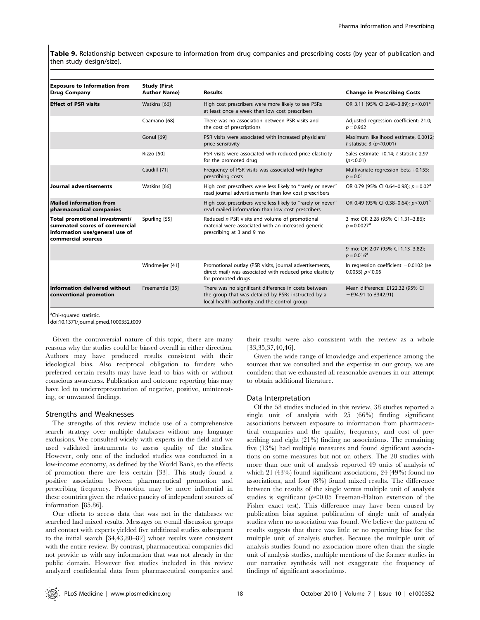Table 9. Relationship between exposure to information from drug companies and prescribing costs (by year of publication and then study design/size).

| <b>Exposure to Information from</b><br>Drug Company                                                                    | <b>Study (First</b><br><b>Author Name)</b> | <b>Results</b>                                                                                                                                              | <b>Change in Prescribing Costs</b>                                  |
|------------------------------------------------------------------------------------------------------------------------|--------------------------------------------|-------------------------------------------------------------------------------------------------------------------------------------------------------------|---------------------------------------------------------------------|
| <b>Effect of PSR visits</b>                                                                                            | Watkins [66]                               | High cost prescribers were more likely to see PSRs<br>at least once a week than low cost prescribers                                                        | OR 3.11 (95% CI 2.48-3.89); p<0.01 <sup>a</sup>                     |
|                                                                                                                        | Caamano [68]                               | There was no association between PSR visits and<br>the cost of prescriptions                                                                                | Adjusted regression coefficient: 21.0;<br>$p = 0.962$               |
|                                                                                                                        | <b>Gonul</b> [69]                          | PSR visits were associated with increased physicians'<br>price sensitivity                                                                                  | Maximum likelihood estimate, 0.0012;<br>t statistic 3 ( $p$ <0.001) |
|                                                                                                                        | Rizzo [50]                                 | PSR visits were associated with reduced price elasticity<br>for the promoted drug                                                                           | Sales estimate $+0.14$ ; t statistic 2.97<br>(p<0.01)               |
|                                                                                                                        | Caudill [71]                               | Frequency of PSR visits was associated with higher<br>prescribing costs                                                                                     | Multivariate regression beta +0.155;<br>$p = 0.01$                  |
| Journal advertisements                                                                                                 | Watkins [66]                               | High cost prescribers were less likely to "rarely or never"<br>read journal advertisements than low cost prescribers                                        | OR 0.79 (95% CI 0.64-0.98); $p = 0.02^a$                            |
| <b>Mailed information from</b><br>pharmaceutical companies                                                             |                                            | High cost prescribers were less likely to "rarely or never"<br>read mailed information than low cost prescribers                                            | OR 0.49 (95% CI 0.38-0.64); $p$ <0.01 <sup>a</sup>                  |
| Total promotional investment/<br>summated scores of commercial<br>information use/general use of<br>commercial sources | Spurling [55]                              | Reduced n PSR visits and volume of promotional<br>material were associated with an increased generic<br>prescribing at 3 and 9 mo                           | 3 mo: OR 2.28 (95% CI 1.31-3.86);<br>$p = 0.0027^a$                 |
|                                                                                                                        |                                            |                                                                                                                                                             | 9 mo: OR 2.07 (95% Cl 1.13-3.82);<br>$p = 0.016^a$                  |
|                                                                                                                        | Windmeijer [41]                            | Promotional outlay (PSR visits, journal advertisements,<br>direct mail) was associated with reduced price elasticity<br>for promoted drugs                  | In regression coefficient $-0.0102$ (se<br>0.0055) $p < 0.05$       |
| Information delivered without<br>conventional promotion                                                                | Freemantle [35]                            | There was no significant difference in costs between<br>the group that was detailed by PSRs instructed by a<br>local health authority and the control group | Mean difference: £122.32 (95% CI<br>$-£94.91$ to £342.91)           |

<sup>a</sup>Chi-squared statistic.

doi:10.1371/journal.pmed.1000352.t009

Given the controversial nature of this topic, there are many reasons why the studies could be biased overall in either direction. Authors may have produced results consistent with their ideological bias. Also reciprocal obligation to funders who preferred certain results may have lead to bias with or without conscious awareness. Publication and outcome reporting bias may have led to underrepresentation of negative, positive, uninteresting, or unwanted findings.

### Strengths and Weaknesses

The strengths of this review include use of a comprehensive search strategy over multiple databases without any language exclusions. We consulted widely with experts in the field and we used validated instruments to assess quality of the studies. However, only one of the included studies was conducted in a low-income economy, as defined by the World Bank, so the effects of promotion there are less certain [33]. This study found a positive association between pharmaceutical promotion and prescribing frequency. Promotion may be more influential in these countries given the relative paucity of independent sources of information [85,86].

Our efforts to access data that was not in the databases we searched had mixed results. Messages on e-mail discussion groups and contact with experts yielded five additional studies subsequent to the initial search [34,43,80–82] whose results were consistent with the entire review. By contrast, pharmaceutical companies did not provide us with any information that was not already in the public domain. However five studies included in this review analyzed confidential data from pharmaceutical companies and their results were also consistent with the review as a whole [33,35,37,40,46].

Given the wide range of knowledge and experience among the sources that we consulted and the expertise in our group, we are confident that we exhausted all reasonable avenues in our attempt to obtain additional literature.

### Data Interpretation

Of the 58 studies included in this review, 38 studies reported a single unit of analysis with 25 (66%) finding significant associations between exposure to information from pharmaceutical companies and the quality, frequency, and cost of prescribing and eight (21%) finding no associations. The remaining five (13%) had multiple measures and found significant associations on some measures but not on others. The 20 studies with more than one unit of analysis reported 49 units of analysis of which 21 (43%) found significant associations, 24 (49%) found no associations, and four (8%) found mixed results. The difference between the results of the single versus multiple unit of analysis studies is significant  $(p<0.05$  Freeman-Halton extension of the Fisher exact test). This difference may have been caused by publication bias against publication of single unit of analysis studies when no association was found. We believe the pattern of results suggests that there was little or no reporting bias for the multiple unit of analysis studies. Because the multiple unit of analysis studies found no association more often than the single unit of analysis studies, multiple mentions of the former studies in our narrative synthesis will not exaggerate the frequency of findings of significant associations.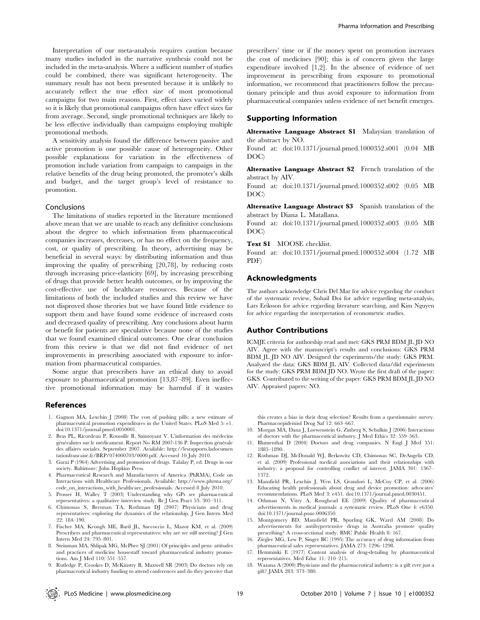Interpretation of our meta-analysis requires caution because many studies included in the narrative synthesis could not be included in the meta-analysis. Where a sufficient number of studies could be combined, there was significant heterogeneity. The summary result has not been presented because it is unlikely to accurately reflect the true effect size of most promotional campaigns for two main reasons. First, effect sizes varied widely so it is likely that promotional campaigns often have effect sizes far from average. Second, single promotional techniques are likely to be less effective individually than campaigns employing multiple promotional methods.

A sensitivity analysis found the difference between passive and active promotion is one possible cause of heterogeneity. Other possible explanations for variation in the effectiveness of promotion include variation from campaign to campaign in the relative benefits of the drug being promoted, the promoter's skills and budget, and the target group's level of resistance to promotion.

### Conclusions

The limitations of studies reported in the literature mentioned above mean that we are unable to reach any definitive conclusions about the degree to which information from pharmaceutical companies increases, decreases, or has no effect on the frequency, cost, or quality of prescribing. In theory, advertising may be beneficial in several ways: by distributing information and thus improving the quality of prescribing [20,78], by reducing costs through increasing price-elasticity [69], by increasing prescribing of drugs that provide better health outcomes, or by improving the cost-effective use of healthcare resources. Because of the limitations of both the included studies and this review we have not disproved those theories but we have found little evidence to support them and have found some evidence of increased costs and decreased quality of prescribing. Any conclusions about harm or benefit for patients are speculative because none of the studies that we found examined clinical outcomes. One clear conclusion from this review is that we did not find evidence of net improvements in prescribing associated with exposure to information from pharmaceutical companies.

Some argue that prescribers have an ethical duty to avoid exposure to pharmaceutical promotion [13,87–89]. Even ineffective promotional information may be harmful if it wastes

### References

- 1. Gagnon MA, Lexchin J (2008) The cost of pushing pills: a new estimate of pharmaceutical promotion expenditures in the United States. PLoS Med 5: e1. doi:10.1371/journal.pmed.0050001.
- 2. Bras PL, Ricordeau P, Roussille B, Saintoyant V. L'information des médecins généralistes sur le médicament. Report No RM 2007-136 P. Inspection générale des affaires sociales. September 2007. Available: http://lesrapports.ladocumen tationfrancaise.fr/BRP/074000703/0000.pdf. Accessed 10 July 2010.
- 3. Garai P (1964) Advertising and promotion of drugs. Talalay P, ed. Drugs in our society. Baltimore: John Hopkins Press.
- 4. Pharmaceutical Research and Manufacturers of America (PhRMA), Code on Interactions with Healthcare Professionals. Available: http://www.phrma.org/ code\_on\_interactions\_with\_healthcare\_professionals. Accessed 8 July 2010.
- 5. Prosser H, Walley T (2003) Understanding why GPs see pharmaceutical representatives: a qualitative interview study. Br J Gen Pract 53: 305–311.
- 6. Chimonas S, Brennan TA, Rothman DJ (2007) Physicians and drug representatives: exploring the dynamics of the relationship. J Gen Intern Med 22: 184–190.
- 7. Fischer MA, Keough ME, Baril JL, Saccoccio L, Mazor KM, et al. (2009) Prescribers and pharmaceutical representatives: why are we still meeting? J Gen Intern Med 24: 795–801.
- 8. Steinman MA, Shlipak MG, McPhee SJ (2001) Of principles and pens: attitudes and practices of medicine housestaff toward pharmaceutical industry promotions. Am J Med 110: 551–557.
- 9. Rutledge P, Crookes D, McKinstry B, Maxwell SR (2003) Do doctors rely on pharmaceutical industry funding to attend conferences and do they perceive that

prescribers' time or if the money spent on promotion increases the cost of medicines [90]; this is of concern given the large expenditure involved [1,2]. In the absence of evidence of net improvement in prescribing from exposure to promotional information, we recommend that practitioners follow the precautionary principle and thus avoid exposure to information from pharmaceutical companies unless evidence of net benefit emerges.

### Supporting Information

Alternative Language Abstract S1 Malaysian translation of the abstract by NO.

Found at: doi:10.1371/journal.pmed.1000352.s001 (0.04 MB DOC)

Alternative Language Abstract S2 French translation of the abstract by AIV.

Found at: doi:10.1371/journal.pmed.1000352.s002 (0.05 MB DOC)

Alternative Language Abstract S3 Spanish translation of the abstract by Diana L. Matallana.

Found at: doi:10.1371/journal.pmed.1000352.s003 (0.05 MB DOC)

#### Text S1 MOOSE checklist.

Found at: doi:10.1371/journal.pmed.1000352.s004 (1.72 MB PDF)

### Acknowledgments

The authors acknowledge Chris Del Mar for advice regarding the conduct of the systematic review, Suhail Doi for advice regarding meta-analysis, Lars Eriksson for advice regarding literature searching, and Kim Nguyen for advice regarding the interpretation of econometric studies.

### Author Contributions

ICMJE criteria for authorship read and met: GKS PRM BDM JL JD NO AIV. Agree with the manuscript's results and conclusions: GKS PRM BDM JL JD NO AIV. Designed the experiments/the study: GKS PRM. Analyzed the data: GKS BDM JL AIV. Collected data/did experiments for the study: GKS PRM BDM JD NO. Wrote the first draft of the paper: GKS. Contributed to the writing of the paper: GKS PRM BDM JL JD NO AIV. Appraised papers: NO.

this creates a bias in their drug selection? Results from a questionnaire survey. Pharmacoepidemiol Drug Saf 12: 663–667.

- 10. Morgan MA, Dana J, Loewenstein G, Zinberg S, Schulkin J (2006) Interactions of doctors with the pharmaceutical industry. J Med Ethics 32: 559–563.
- 11. Blumenthal D (2004) Doctors and drug companies. N Engl J Med 351: 1885–1890.
- 12. Rothman DJ, McDonald WJ, Berkowitz CD, Chimonas SC, DeAngelis CD, et al. (2009) Professional medical associations and their relationships with industry: a proposal for controlling conflict of interest. JAMA 301: 1367– 1372.
- 13. Mansfield PR, Lexchin J, Wen LS, Grandori L, McCoy CP, et al. (2006) Educating health professionals about drug and device promotion: advocates' recommendations. PLoS Med 3: e451. doi:10.1371/journal.pmed.0030451.
- 14. Othman N, Vitry A, Roughead EE (2009) Quality of pharmaceutical advertisements in medical journals: a systematic review. PLoS One 4: e6350. doi:10.1371/journal.pone.0006350.
- 15. Montgomery BD, Mansfield PR, Spurling GK, Ward AM (2008) Do advertisements for antihypertensive drugs in Australia promote quality prescribing? A cross-sectional study. BMC Public Health 8: 167.
- 16. Ziegler MG, Lew P, Singer BC (1995) The accuracy of drug information from pharmaceutical sales representatives. JAMA 273: 1296–1298.
- 17. Hemminki E (1977) Content analysis of drug-detailing by pharmaceutical representatives. Med Educ 11: 210–215.
- 18. Wazana A (2000) Physicians and the pharmaceutical industry: is a gift ever just a gift? JAMA 283: 373–380.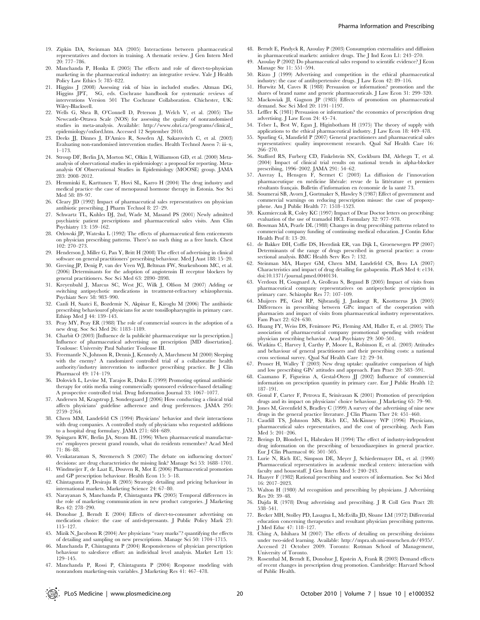- 19. Zipkin DA, Steinman MA (2005) Interactions between pharmaceutical representatives and doctors in training. A thematic review. J Gen Intern Med 20: 777–786.
- 20. Manchanda P, Honka E (2005) The effects and role of direct-to-physician marketing in the pharmaceutical industry: an integrative review. Yale J Health Policy Law Ethics 5: 785–822.
- 21. Higgins J (2008) Assessing risk of bias in included studies. Altman DG, Higgins JPT, SG, eds. Cochrane handbook for systematic reviews of interventions Version 501 The Cochrane Collaboration. Chichester, UK: Wiley-Blackwell.
- 22. Wells G, Shea B, O'Connell D, Peterson J, Welch V, et al. (2005) The Newcastle-Ottawa Scale (NOS) for assessing the quality of nonrandomised studies in meta-analysis. Available: http://www.ohri.ca/programs/clinical\_ epidemiology/oxford.htm. Accessed 12 September 2010.
- 23. Deeks JJ, Dinnes J, D'Amico R, Sowden AJ, Sakarovitch C, et al. (2003) Evaluating non-randomised intervention studies. Health Technol Assess 7: iii–x, 1–173.
- 24. Stroup DF, Berlin JA, Morton SC, Olkin I, Williamson GD, et al. (2000) Metaanalysis of observational studies in epidemiology: a proposal for reporting. Metaanalysis Of Observational Studies in Epidemiology (MOOSE) group. JAMA 283: 2008–2012.
- 25. Hemminki E, Karttunen T, Hovi SL, Karro H (2004) The drug industry and medical practice–the case of menopausal hormone therapy in Estonia. Soc Sci Med 58: 89–97.
- 26. Cleary JD (1992) Impact of pharmaceutical sales representatives on physician antibiotic prescribing. J Pharm Technol 8: 27–29.
- 27. Schwartz TL, Kuhles DJ, 2nd, Wade M, Masand PS (2001) Newly admitted psychiatric patient prescriptions and pharmaceutical sales visits. Ann Clin Psychiatry 13: 159–162.
- 28. Orlowski JP, Wateska L (1992) The effects of pharmaceutical firm enticements on physician prescribing patterns. There's no such thing as a free lunch. Chest 102: 270–273.
- 29. Henderson J, Miller G, Pan Y, Britt H (2008) The effect of advertising in clinical software on general practitioners' prescribing behaviour. Med J Aust 188: 15–20.
- 30. Greving JP, Denig P, van der Veen WJ, Beltman FW, Sturkenboom MC, et al. (2006) Determinants for the adoption of angiotensin II receptor blockers by general practitioners. Soc Sci Med 63: 2890–2898.
- 31. Kreyenbuhl J, Marcus SC, West JC, Wilk J, Olfson M (2007) Adding or switching antipsychotic medications in treatment-refractory schizophrenia. Psychiatr Serv 58: 983–990.
- 32. Canli H, Saatci E, Bozdemir N, Akpinar E, Kiroglu M (2006) The antibiotic prescribing behaviourof physicians for acute tonsillopharyngitis in primary care. Ethiop Med J 44: 139–143.
- 33. Peay MY, Peay ER (1988) The role of commercial sources in the adoption of a new drug. Soc Sci Med 26: 1183–1189.
- 34. Charbit O (2003) [Influence de la publicité pharmaceutique sur la prescription.] Influence of pharmaceutical advertising on prescription [MD dissertation]. Toulouse: University Paul Sabatier Toulouse III.
- 35. Freemantle N, Johnson R, Dennis J, Kennedy A, Marchment M (2000) Sleeping with the enemy? A randomized controlled trial of a collaborative health authority/industry intervention to influence prescribing practice. Br J Clin Pharmacol 49: 174–179.
- 36. Dolovich L, Levine M, Tarajos R, Duku E (1999) Promoting optimal antibiotic therapy for otitis media using commercially sponsored evidence-based detailing: A prospective controlled trial. Drug Information Journal 33: 1067–1077.
- 37. Andersen M, Kragstrup J, Sondergaard J (2006) How conducting a clinical trial affects physicians' guideline adherence and drug preferences. JAMA 295: 2759–2764.
- 38. Chren MM, Landefeld CS (1994) Physicians' behavior and their interactions with drug companies. A controlled study of physicians who requested additions to a hospital drug formulary. JAMA 271: 684–689.
- 39. Spingarn RW, Berlin JA, Strom BL (1996) When pharmaceutical manufacturers' employees present grand rounds, what do residents remember? Acad Med 71: 86–88.
- 40. Venkataraman S, Stremersch S (2007) The debate on influencing doctors' decisions: are drug characteristics the missing link? Manage Sci 53: 1688–1701.
- 41. Windmeijer F, de Laat E, Douven R, Mot E (2006) Pharmaceutical promotion and GP prescription behaviour. Health Econ 15: 5–18.
- 42. Chintagunta P, Desiraju R (2005) Strategic detailing and pricing behaviour in international markets. Marketing Science 24: 67–80.
- 43. Narayanan S, Manchanda P, Chintagunta PK (2005) Temporal differences in the role of marketing communication in new product categories. J Marketing Res 42: 278–290.
- 44. Donohue J, Berndt E (2004) Effects of direct-to-consumer advertising on medication choice: the case of anti-depressants. J Public Policy Mark 23: 115–127.
- 45. Mizik N, Jacobson R (2004) Are physicians ''easy marks''? quantifying the effects of detailing and sampling on new prescriptions. Manage Sci 50: 1704–1715.
- 46. Manchanda P, Chintagunta P (2004) Responsiveness of physician prescription behaviour to salesforce effort: an individual level analysis. Market Lett 15: 129–145.
- 47. Manchanda P, Rossi P, Chintagunta P (2004) Response modeling with nonrandom marketing-mix variables. J Marketing Res 41: 467–478.
- 48. Berndt E, Pindyck R, Azoulay P (2003) Consumption externalities and diffusion in pharmaceutical markets: antiulcer drugs. The J Ind Econ L1: 243–270.
- 49. Azoulay P (2002) Do pharmaceutical sales respond to scientific evidence? J Econ Manage Str 11: 551–594.
- 50. Rizzo J (1999) Advertising and competition in the ethical pharmaceutical industry: the case of antihypertensive drugs. J Law Econ 42: 89–116.
- 51. Hurwitz M, Caves R (1988) Persuasion or information? promotion and the shares of brand name and generic pharmaceuticals. J Law Econ 31: 299–320. 52. Mackowiak JI, Gagnon JP (1985) Effects of promotion on pharmaceutical
- demand. Soc Sci Med 20: 1191–1197. 53. Leffler K (1981) Persuasion or information? the economics of prescription drug
- advertising. J Law Econ 24: 45–74. 54. Telser L, Best W, Egan J, Higinbotham H (1975) The theory of supply with
- applications to the ethical pharmaceutical industry. J Law Econ 18: 449–478.
- 55. Spurling G, Mansfield P (2007) General practitioners and pharmaceutical sales representatives: quality improvement research. Qual Saf Health Care 16: 266–270.
- 56. Stafford RS, Furberg CD, Finkelstein SN, Cockburn IM, Alehegn T, et al. (2004) Impact of clinical trial results on national trends in alpha-blocker prescribing, 1996–2002. JAMA 291: 54–62.
- 57. Auvray L, Hensgen F, Sermet C (2003) La diffusion de l'innovation pharmaceutique en médicine libérale: revue de la littérature et premiers résultants français. Bulletin d'information en économie de la santé 73.
- 58. Soumerai SB, Avorn J, Gortmaker S, Hawley S (1987) Effect of government and commercial warnings on reducing prescription misuse: the case of propoxyphene. Am J Public Health 77: 1518–1523.
- 59. Kazmierczak R, Coley KC (1997) Impact of Dear Doctor letters on prescribing: evaluation of the use of tramadol HCl. Formulary 32: 977–978.
- 60. Bowman MA, Pearle DL (1988) Changes in drug prescribing patterns related to commercial company funding of continuing medical education. J Contin Educ Health Prof 8: 13–20.
- 61. de Bakker DH, Coffie DS, Heerdink ER, van Dijk L, Groenewegen PP (2007) Determinants of the range of drugs prescribed in general practice: a crosssectional analysis. BMC Health Serv Res 7: 132.
- 62. Steinman MA, Harper GM, Chren MM, Landefeld CS, Bero LA (2007) Characteristics and impact of drug detailing for gabapentin. PLoS Med 4: e134. doi:10.1371/journal.pmed.0040134.
- 63. Verdoux H, Cougnard A, Grolleau S, Begaud B (2005) Impact of visits from pharmaceutical company representatives on antipsychotic prescription in primary care. Schizophr Res 77: 107-109.
- 64. Muijrers PE, Grol RP, Sijbrandij J, Janknegt R, Knottnerus JA (2005) Differences in prescribing between GPs: impact of the cooperation with pharmacists and impact of visits from pharmaceutical industry representatives. Fam Pract 22: 624–630.
- 65. Huang FY, Weiss DS, Fenimore PG, Fleming AM, Haller E, et al. (2005) The association of pharmaceutical company promotional spending with resident physician prescribing behavior. Acad Psychiatry 29: 500–501.
- 66. Watkins C, Harvey I, Carthy P, Moore L, Robinson E, et al. (2003) Attitudes and behaviour of general practitioners and their prescribing costs: a national cross sectional survey. Qual Saf Health Care 12: 29–34.
- 67. Prosser H, Walley T (2003) New drug uptake: qualitative comparison of high and low prescribing GPs' attitudes and approach. Fam Pract 20: 583–591.
- 68. Caamano F, Figueiras A, Gestal-Otero JJ (2002) Influence of commercial information on prescription quantity in primary care. Eur J Public Health 12: 187–191.
- 69. Gonul F, Carter F, Petrova E, Srinivasan K (2001) Promotion of prescription drugs and its impact on physicians' choice behaviour. J Marketing 65: 79–90.
- 70. Jones M, Greenfield S, Bradley C (1999) A survey of the advertising of nine new drugs in the general practice literature. J Clin Pharm Ther 24: 451–460.
- 71. Caudill TS, Johnson MS, Rich EC, McKinney WP (1996) Physicians, pharmaceutical sales representatives, and the cost of prescribing. Arch Fam Med 5: 201–206.
- 72. Berings D, Blondeel L, Habraken H (1994) The effect of industry-independent drug information on the prescribing of benzodiazepines in general practice. Eur J Clin Pharmacol 46: 501–505.
- 73. Lurie N, Rich EC, Simpson DE, Meyer J, Schiedermayer DL, et al. (1990) Pharmaceutical representatives in academic medical centers: interaction with faculty and housestaff. J Gen Intern Med 5: 240–243.
- 74. Haayer F (1982) Rational prescribing and sources of information. Soc Sci Med 16: 2017–2023.
- 75. Walton H (1980) Ad recognition and prescribing by physicians. J Advertising Res 20: 39–48.
- 76. Dajda R (1978) Drug advertising and prescribing. J R Coll Gen Pract 28: 538–541.
- 77. Becker MH, Stolley PD, Lasagna L, McEvilla JD, Sloane LM (1972) Differential education concerning therapeutics and resultant physician prescribing patterns. J Med Educ 47: 118–127.
- 78. Ching A, Ishihara M (2007) The effects of detailing on prescribing decisions under two-sided learning. Available: http://mpra.ub.uni-muenchen.de/4935/. Accessed 21 October 2009. Toronto: Rotman School of Management, University of Toronto.
- 79. Rosenthal M, Berndt E, Donohue J, Epstein A, Frank R (2003) Demand effects of recent changes in prescription drug promotion. Cambridge: Harvard School of Public Health.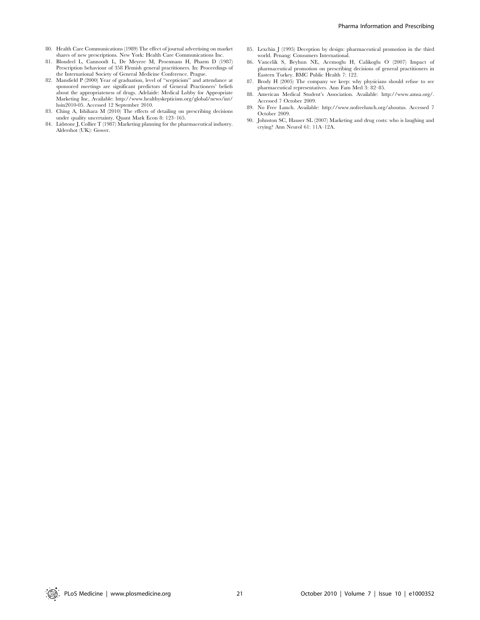- 80. Health Care Communications (1989) The effect of journal advertising on market shares of new prescriptions. New York: Health Care Communications Inc.
- 81. Blondeel L, Cannoodt L, De Meyere M, Proesmans H, Pharm D (1987) Prescription behaviour of 358 Flemish general practitioners. In: Proceedings of the International Society of General Medicine Conference. Prague.
- 82. Mansfield P (2000) Year of graduation, level of ''scepticism'' and attendance at sponsored meetings are significant predictors of General Practioners' beliefs about the appropriateness of drugs. Adelaide: Medical Lobby for Appropriate Marketing Inc, Available: http://www.healthyskepticism.org/global/news/int/ hsin2010-05. Accessed 12 September 2010.
- 83. Ching A, Ishihara M (2010) The effects of detailing on prescribing decisions under quality uncertainty. Quant Mark Econ 8: 123–165.
- 84. Lidstone J, Collier T (1987) Marketing planning for the pharmaceutical industry. Aldershot (UK): Gower.
- 85. Lexchin J (1995) Deception by design: pharmaceutical promotion in the third world. Penang: Consumers International.
- 86. Vancelik S, Beyhun NE, Acemoglu H, Calikoglu O (2007) Impact of pharmaceutical promotion on prescribing decisions of general practitioners in Eastern Turkey. BMC Public Health 7: 122.
- 87. Brody H (2005) The company we keep: why physicians should refuse to see pharmaceutical representatives. Ann Fam Med 3: 82–85.
- 88. American Medical Student's Association. Available: http://www.amsa.org/. Accessed 7 October 2009.
- 89. No Free Lunch. Available: http://www.nofreelunch.org/aboutus. Accessed 7 October 2009.
- 90. Johnston SC, Hauser SL (2007) Marketing and drug costs: who is laughing and crying? Ann Neurol 61: 11A–12A.